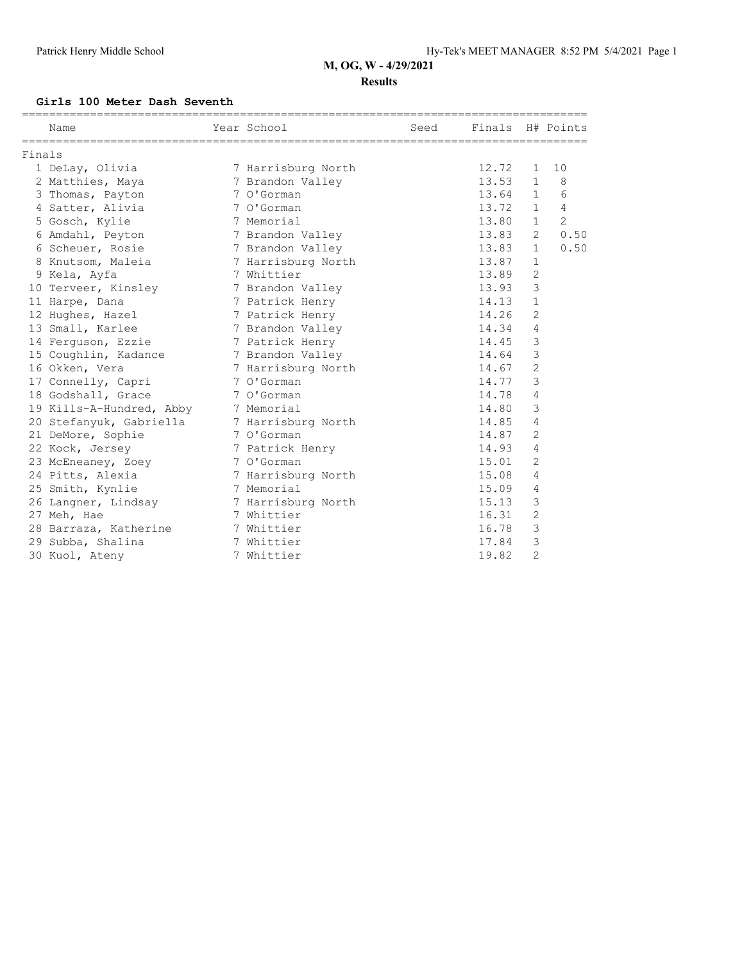#### **Results**

#### **Girls 100 Meter Dash Seventh**

|        | Name                     | Year School        | ===================<br>Seed | Finals H# Points |                |                |
|--------|--------------------------|--------------------|-----------------------------|------------------|----------------|----------------|
| Finals |                          |                    |                             |                  |                |                |
|        | 1 DeLay, Olivia          | 7 Harrisburg North |                             | 12.72            | $\mathbf{1}$   | 10             |
|        | 2 Matthies, Maya         | 7 Brandon Valley   |                             | 13.53            | $\mathbf{1}$   | 8              |
|        | 3 Thomas, Payton         | 7 O'Gorman         |                             | 13.64            | 1              | 6              |
|        | 4 Satter, Alivia         | 7 O'Gorman         |                             | 13.72            | $\mathbf{1}$   | 4              |
|        | 5 Gosch, Kylie           | 7 Memorial         |                             | 13.80            | $\mathbf{1}$   | $\overline{2}$ |
|        | 6 Amdahl, Peyton         | 7 Brandon Valley   |                             | 13.83            | 2              | 0.50           |
|        | 6 Scheuer, Rosie         | 7 Brandon Valley   |                             | 13.83            | $\mathbf{1}$   | 0.50           |
|        | 8 Knutsom, Maleia        | 7 Harrisburg North |                             | 13.87            | $\mathbf{1}$   |                |
|        | 9 Kela, Ayfa             | 7 Whittier         |                             | 13.89            | $\overline{2}$ |                |
|        | 10 Terveer, Kinsley      | 7 Brandon Valley   |                             | 13.93            | 3              |                |
|        | 11 Harpe, Dana           | 7 Patrick Henry    |                             | 14.13            | $\mathbf{1}$   |                |
|        | 12 Hughes, Hazel         | 7 Patrick Henry    |                             | 14.26            | $\overline{2}$ |                |
|        | 13 Small, Karlee         | 7 Brandon Valley   |                             | 14.34            | 4              |                |
|        | 14 Ferquson, Ezzie       | 7 Patrick Henry    |                             | 14.45            | 3              |                |
|        | 15 Coughlin, Kadance     | 7 Brandon Valley   |                             | 14.64            | 3              |                |
|        | 16 Okken, Vera           | 7 Harrisburg North |                             | 14.67            | $\overline{2}$ |                |
|        | 17 Connelly, Capri       | 7 O'Gorman         |                             | 14.77            | 3              |                |
|        | 18 Godshall, Grace       | 7 O'Gorman         |                             | 14.78            | 4              |                |
|        | 19 Kills-A-Hundred, Abby | 7 Memorial         |                             | 14.80            | 3              |                |
|        | 20 Stefanyuk, Gabriella  | 7 Harrisburg North |                             | 14.85            | 4              |                |
|        | 21 DeMore, Sophie        | 7 O'Gorman         |                             | 14.87            | $\overline{2}$ |                |
|        | 22 Kock, Jersey          | 7 Patrick Henry    |                             | 14.93            | 4              |                |
|        | 23 McEneaney, Zoey       | 7 O'Gorman         |                             | 15.01            | $\overline{2}$ |                |
|        | 24 Pitts, Alexia         | 7 Harrisburg North |                             | 15.08            | 4              |                |
|        | 25 Smith, Kynlie         | 7 Memorial         |                             | 15.09            | 4              |                |
|        | 26 Langner, Lindsay      | 7 Harrisburg North |                             | 15.13            | 3              |                |
|        | 27 Meh, Hae              | 7 Whittier         |                             | 16.31            | $\overline{2}$ |                |
|        | 28 Barraza, Katherine    | 7 Whittier         |                             | 16.78            | 3              |                |
|        | 29 Subba, Shalina        | 7 Whittier         |                             | 17.84            | 3              |                |
|        | 30 Kuol, Ateny           | 7 Whittier         |                             | 19.82            | $\overline{2}$ |                |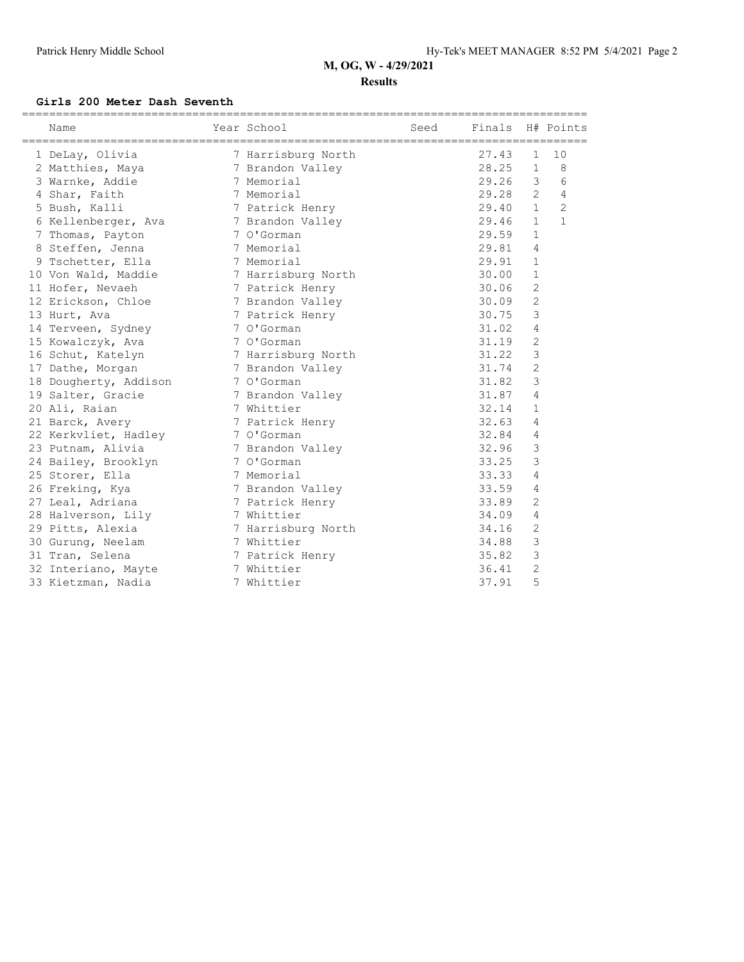#### **Results**

#### **Girls 200 Meter Dash Seventh**

| Name                  | Year School        | Seed Finals H# Points |       |                |                |
|-----------------------|--------------------|-----------------------|-------|----------------|----------------|
| 1 DeLay, Olivia       | 7 Harrisburg North |                       | 27.43 | $\mathbf{1}$   | 10             |
| 2 Matthies, Maya      | 7 Brandon Valley   |                       | 28.25 | $\mathbf{1}$   | 8              |
| 3 Warnke, Addie       | 7 Memorial         |                       | 29.26 | 3              | 6              |
| 4 Shar, Faith         | 7 Memorial         |                       | 29.28 | $\overline{2}$ | $\overline{4}$ |
| 5 Bush, Kalli         | 7 Patrick Henry    |                       | 29.40 | 1              | $\overline{c}$ |
| 6 Kellenberger, Ava   | 7 Brandon Valley   |                       | 29.46 | $\mathbf{1}$   | $\mathbf{1}$   |
| 7 Thomas, Payton      | 7 O'Gorman         |                       | 29.59 | $\mathbf{1}$   |                |
| 8 Steffen, Jenna      | 7 Memorial         |                       | 29.81 | 4              |                |
| 9 Tschetter, Ella     | 7 Memorial         |                       | 29.91 | $\mathbf{1}$   |                |
| 10 Von Wald, Maddie   | 7 Harrisburg North |                       | 30.00 | $\mathbf{1}$   |                |
| 11 Hofer, Nevaeh      | 7 Patrick Henry    |                       | 30.06 | $\overline{2}$ |                |
| 12 Erickson, Chloe    | 7 Brandon Valley   |                       | 30.09 | $\overline{2}$ |                |
| 13 Hurt, Ava          | 7 Patrick Henry    |                       | 30.75 | 3              |                |
| 14 Terveen, Sydney    | 7 O'Gorman         |                       | 31.02 | 4              |                |
| 15 Kowalczyk, Ava     | 7 O'Gorman         |                       | 31.19 | $\overline{2}$ |                |
| 16 Schut, Katelyn     | 7 Harrisburg North |                       | 31.22 | 3              |                |
| 17 Dathe, Morgan      | 7 Brandon Valley   |                       | 31.74 | $\overline{2}$ |                |
| 18 Dougherty, Addison | 7 O'Gorman         |                       | 31.82 | 3              |                |
| 19 Salter, Gracie     | 7 Brandon Valley   |                       | 31.87 | 4              |                |
| 20 Ali, Raian         | 7 Whittier         |                       | 32.14 | 1              |                |
| 21 Barck, Avery       | 7 Patrick Henry    |                       | 32.63 | 4              |                |
| 22 Kerkvliet, Hadley  | 7 O'Gorman         |                       | 32.84 | 4              |                |
| 23 Putnam, Alivia     | 7 Brandon Valley   |                       | 32.96 | 3              |                |
| 24 Bailey, Brooklyn   | 7 O'Gorman         |                       | 33.25 | 3              |                |
| 25 Storer, Ella       | 7 Memorial         |                       | 33.33 | 4              |                |
| 26 Freking, Kya       | 7 Brandon Valley   |                       | 33.59 | 4              |                |
| 27 Leal, Adriana      | 7 Patrick Henry    |                       | 33.89 | $\overline{c}$ |                |
| 28 Halverson, Lily    | 7 Whittier         |                       | 34.09 | 4              |                |
| 29 Pitts, Alexia      | 7 Harrisburg North |                       | 34.16 | $\overline{c}$ |                |
| 30 Gurung, Neelam     | 7 Whittier         |                       | 34.88 | 3              |                |
| 31 Tran, Selena       | 7 Patrick Henry    |                       | 35.82 | 3              |                |
| 32 Interiano, Mayte   | 7 Whittier         |                       | 36.41 | $\overline{c}$ |                |
| 33 Kietzman, Nadia    | 7 Whittier         |                       | 37.91 | 5              |                |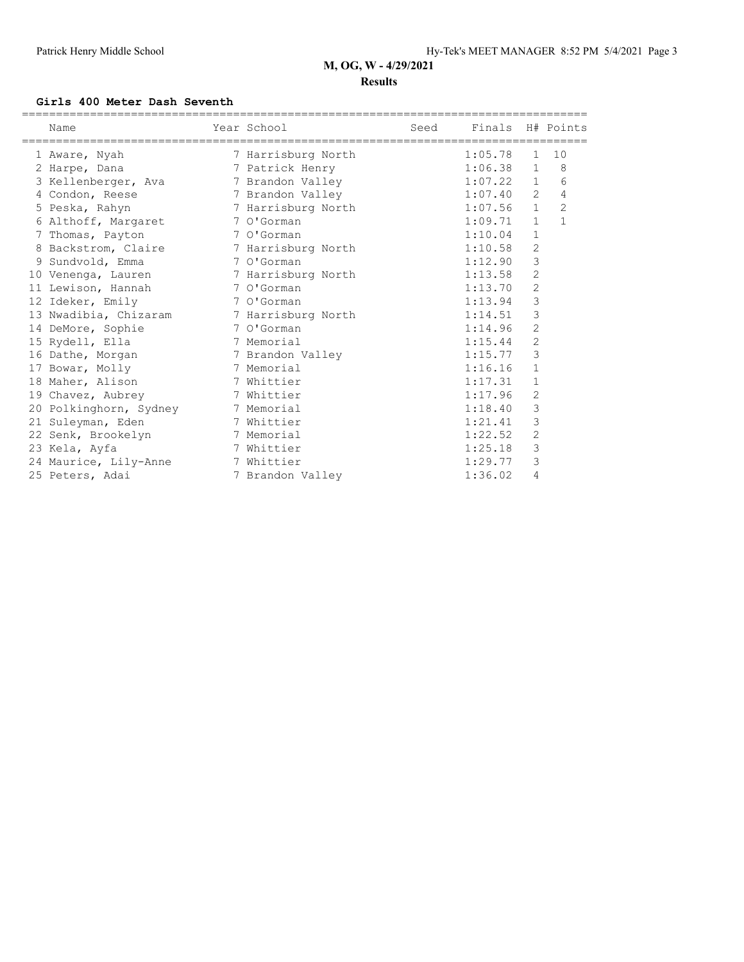#### **Results**

#### **Girls 400 Meter Dash Seventh**

|  | Name<br>==================================== | Year School        | Seed | Finals H# Points |                |                |
|--|----------------------------------------------|--------------------|------|------------------|----------------|----------------|
|  | 1 Aware, Nyah                                | 7 Harrisburg North |      | 1:05.78          | $\mathbf{1}$   | 10             |
|  | 2 Harpe, Dana                                | 7 Patrick Henry    |      | 1:06.38          | $\mathbf{1}$   | 8              |
|  | 3 Kellenberger, Ava                          | 7 Brandon Valley   |      | 1:07.22          | $\mathbf{1}$   | 6              |
|  | 4 Condon, Reese                              | 7 Brandon Valley   |      | 1:07.40          | $\overline{2}$ | 4              |
|  | 5 Peska, Rahyn                               | 7 Harrisburg North |      | 1:07.56          | $\mathbf{1}$   | $\overline{2}$ |
|  | 6 Althoff, Margaret                          | 7 O'Gorman         |      | 1:09.71          | $\mathbf{1}$   | $\mathbf{1}$   |
|  | 7 Thomas, Payton                             | 7 O'Gorman         |      | 1:10.04          | $\mathbf{1}$   |                |
|  | 8 Backstrom, Claire                          | 7 Harrisburg North |      | 1:10.58          | $\overline{2}$ |                |
|  | 9 Sundvold, Emma                             | 7 O'Gorman         |      | 1:12.90          | 3              |                |
|  | 10 Venenga, Lauren 17 Harrisburg North       |                    |      | 1:13.58          | 2              |                |
|  | 11 Lewison, Hannah                           | 7 O'Gorman         |      | 1:13.70          | 2              |                |
|  | 12 Ideker, Emily                             | 7 O'Gorman         |      | 1:13.94          | 3              |                |
|  | 13 Nwadibia, Chizaram 7 Harrisburg North     |                    |      | 1:14.51          | 3              |                |
|  | 14 DeMore, Sophie                            | 7 O'Gorman         |      | 1:14.96          | $\overline{2}$ |                |
|  | 15 Rydell, Ella                              | 7 Memorial         |      | 1:15.44          | 2              |                |
|  | 16 Dathe, Morgan                             | 7 Brandon Valley   |      | 1:15.77          | 3              |                |
|  | 17 Bowar, Molly                              | 7 Memorial         |      | 1:16.16          | $\mathbf{1}$   |                |
|  | 18 Maher, Alison                             | 7 Whittier         |      | 1:17.31          | 1              |                |
|  | 19 Chavez, Aubrey                            | 7 Whittier         |      | 1:17.96          | 2              |                |
|  | 20 Polkinghorn, Sydney                       | 7 Memorial         |      | 1:18.40          | 3              |                |
|  | 21 Suleyman, Eden                            | 7 Whittier         |      | 1:21.41          | 3              |                |
|  | 22 Senk, Brookelyn                           | 7 Memorial         |      | 1:22.52          | $\overline{c}$ |                |
|  | 23 Kela, Ayfa                                | 7 Whittier         |      | 1:25.18          | 3              |                |
|  | 24 Maurice, Lily-Anne                        | 7 Whittier         |      | 1:29.77          | 3              |                |
|  | 25 Peters, Adai                              | 7 Brandon Valley   |      | 1:36.02          | 4              |                |
|  |                                              |                    |      |                  |                |                |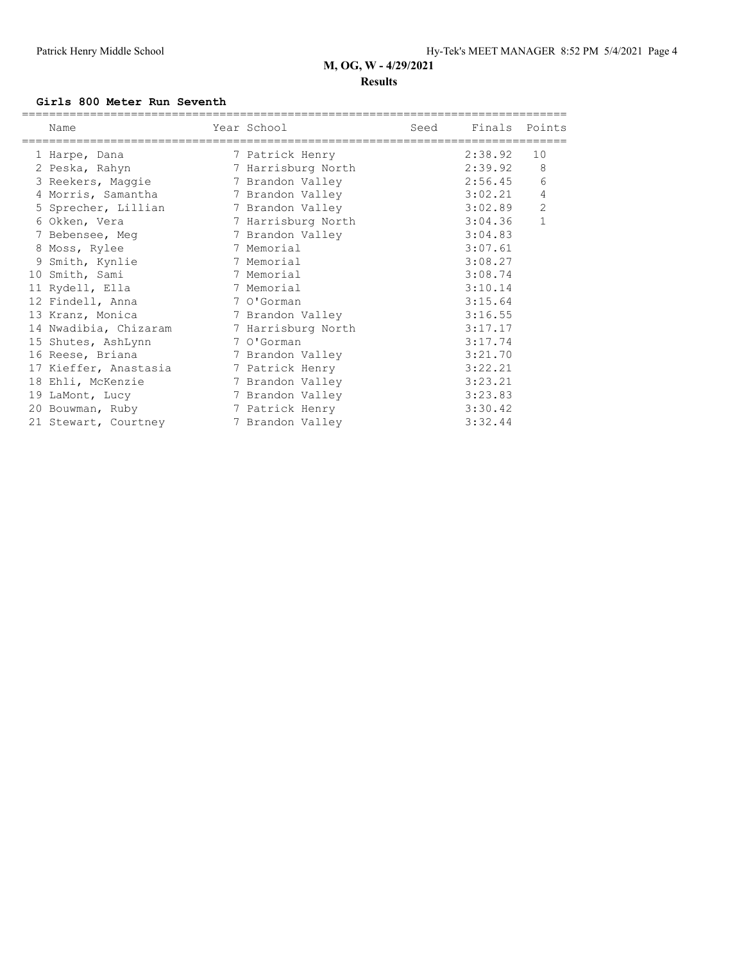### **M, OG, W - 4/29/2021 Results**

#### **Girls 800 Meter Run Seventh**

| Name<br>============================= | Year School<br>============================== | Seed | Finals Points |              |
|---------------------------------------|-----------------------------------------------|------|---------------|--------------|
| 1 Harpe, Dana                         | 7 Patrick Henry                               |      | 2:38.92       | 10           |
| 2 Peska, Rahyn                        | 7 Harrisburg North                            |      | 2:39.92       | 8            |
| 3 Reekers, Maggie                     | 7 Brandon Valley                              |      | 2:56.45       | 6            |
| 4 Morris, Samantha                    | 7 Brandon Valley                              |      | 3:02.21       | 4            |
| 5 Sprecher, Lillian 7 Brandon Valley  |                                               |      | 3:02.89       | 2            |
| 6 Okken, Vera                         | 7 Harrisburg North                            |      | 3:04.36       | $\mathbf{1}$ |
| 7 Bebensee, Meg                       | 7 Brandon Valley                              |      | 3:04.83       |              |
| 8 Moss, Rylee                         | 7 Memorial                                    |      | 3:07.61       |              |
| 9 Smith, Kynlie                       | 7 Memorial                                    |      | 3:08.27       |              |
| 10 Smith, Sami                        | 7 Memorial                                    |      | 3:08.74       |              |
| 11 Rydell, Ella                       | 7 Memorial                                    |      | 3:10.14       |              |
| 12 Findell, Anna                      | 7 O'Gorman                                    |      | 3:15.64       |              |
| 13 Kranz, Monica                      | 7 Brandon Valley                              |      | 3:16.55       |              |
| 14 Nwadibia, Chizaram                 | 7 Harrisburg North                            |      | 3:17.17       |              |
| 15 Shutes, AshLynn                    | 7 O'Gorman                                    |      | 3:17.74       |              |
| 16 Reese, Briana                      | 7 Brandon Valley                              |      | 3:21.70       |              |
| 17 Kieffer, Anastasia                 | 7 Patrick Henry                               |      | 3:22.21       |              |
| 18 Ehli, McKenzie                     | 7 Brandon Valley                              |      | 3:23.21       |              |
| 19 LaMont, Lucy                       | 7 Brandon Valley                              |      | 3:23.83       |              |
| 20 Bouwman, Ruby                      | 7 Patrick Henry                               |      | 3:30.42       |              |
| 21 Stewart, Courtney                  | 7 Brandon Valley                              |      | 3:32.44       |              |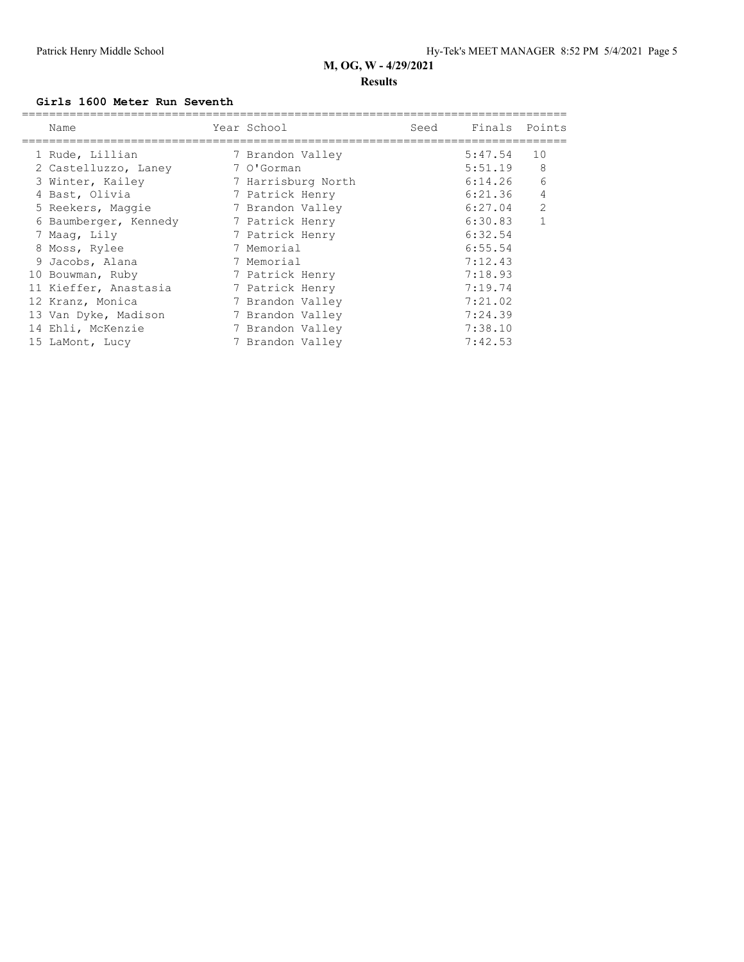### **M, OG, W - 4/29/2021 Results**

#### **Girls 1600 Meter Run Seventh**

| Name                  | Year School        | Seed | Finals Points |              |
|-----------------------|--------------------|------|---------------|--------------|
| 1 Rude, Lillian       | 7 Brandon Valley   |      | 5:47.54       | 10           |
| 2 Castelluzzo, Laney  | 7 O'Gorman         |      | 5:51.19       | 8            |
| 3 Winter, Kailey      | 7 Harrisburg North |      | 6:14.26       | 6            |
| 4 Bast, Olivia        | 7 Patrick Henry    |      | 6:21.36       | 4            |
| 5 Reekers, Maggie     | 7 Brandon Valley   |      | 6:27.04       | 2            |
| 6 Baumberger, Kennedy | 7 Patrick Henry    |      | 6:30.83       | $\mathbf{1}$ |
| 7 Maaq, Lily          | 7 Patrick Henry    |      | 6:32.54       |              |
| 8 Moss, Rylee         | 7 Memorial         |      | 6:55.54       |              |
| 9 Jacobs, Alana       | 7 Memorial         |      | 7:12.43       |              |
| 10 Bouwman, Ruby      | 7 Patrick Henry    |      | 7:18.93       |              |
| 11 Kieffer, Anastasia | 7 Patrick Henry    |      | 7:19.74       |              |
| 12 Kranz, Monica      | 7 Brandon Valley   |      | 7:21.02       |              |
| 13 Van Dyke, Madison  | 7 Brandon Valley   |      | 7:24.39       |              |
| 14 Ehli, McKenzie     | 7 Brandon Valley   |      | 7:38.10       |              |
| 15 LaMont, Lucy       | 7 Brandon Valley   |      | 7:42.53       |              |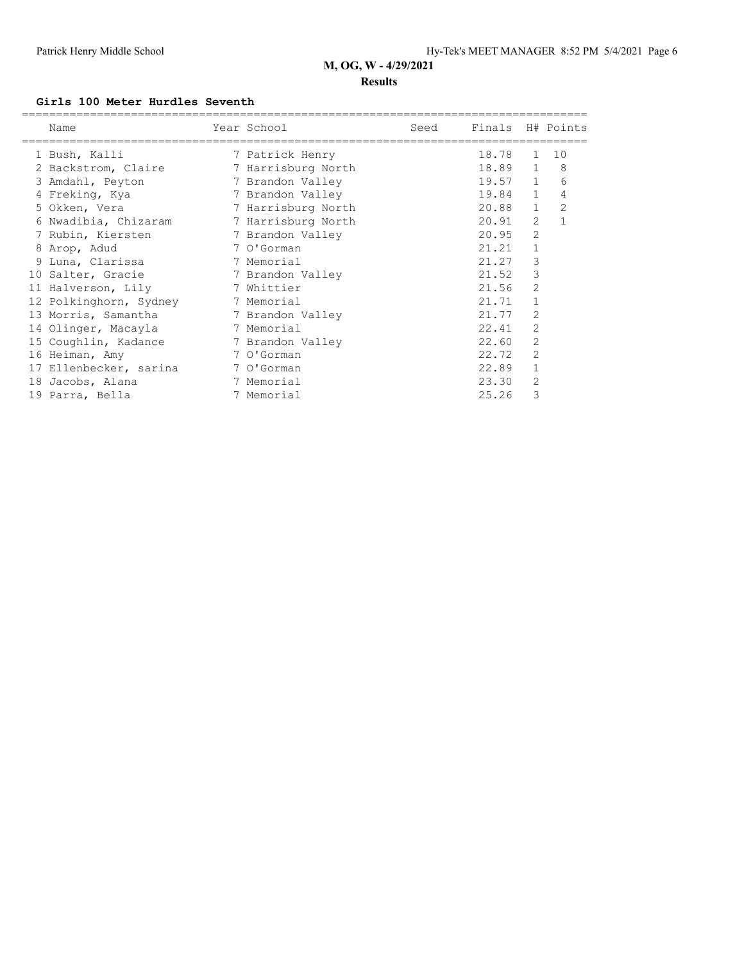#### **Results**

#### **Girls 100 Meter Hurdles Seventh**

| Name                   | Year School        | Seed | Finals H# Points |                |                |
|------------------------|--------------------|------|------------------|----------------|----------------|
| 1 Bush, Kalli          | 7 Patrick Henry    |      | 18.78            | 1              | 10             |
| 2 Backstrom, Claire    | 7 Harrisburg North |      | 18.89 1          |                | - 8            |
| 3 Amdahl, Peyton       | 7 Brandon Valley   |      | $19.57$ 1        |                | 6              |
| 4 Freking, Kya         | 7 Brandon Valley   |      | 19.84 1          |                | 4              |
| 5 Okken, Vera          | 7 Harrisburg North |      | 20.88            | $\mathbf{1}$   | $\overline{2}$ |
| 6 Nwadibia, Chizaram   | 7 Harrisburg North |      | 20.91            | 2              | $\mathbf{1}$   |
| 7 Rubin, Kiersten      | 7 Brandon Valley   |      | 20.95            | 2              |                |
| 8 Arop, Adud           | 7 O'Gorman         |      | 21.21            |                |                |
| 9 Luna, Clarissa       | 7 Memorial         |      | 21.27            | 3              |                |
| 10 Salter, Gracie      | 7 Brandon Valley   |      | 21.52            | 3              |                |
| 11 Halverson, Lily     | 7 Whittier         |      | 21.56            | 2              |                |
| 12 Polkinghorn, Sydney | 7 Memorial         |      | 21.71            | $\mathbf{1}$   |                |
| 13 Morris, Samantha    | 7 Brandon Valley   |      | 21.77            | 2              |                |
| 14 Olinger, Macayla    | 7 Memorial         |      | 22.41            | $\overline{2}$ |                |
| 15 Coughlin, Kadance   | 7 Brandon Valley   |      | 22.60            | 2              |                |
| 16 Heiman, Amy         | 7 O'Gorman         |      | 22.72            | $\overline{2}$ |                |
| 17 Ellenbecker, sarina | 7 O'Gorman         |      | 22.89            |                |                |
| 18 Jacobs, Alana       | 7 Memorial         |      | 23.30            | 2              |                |
| 19 Parra, Bella        | 7 Memorial         |      | 25.26            | 3              |                |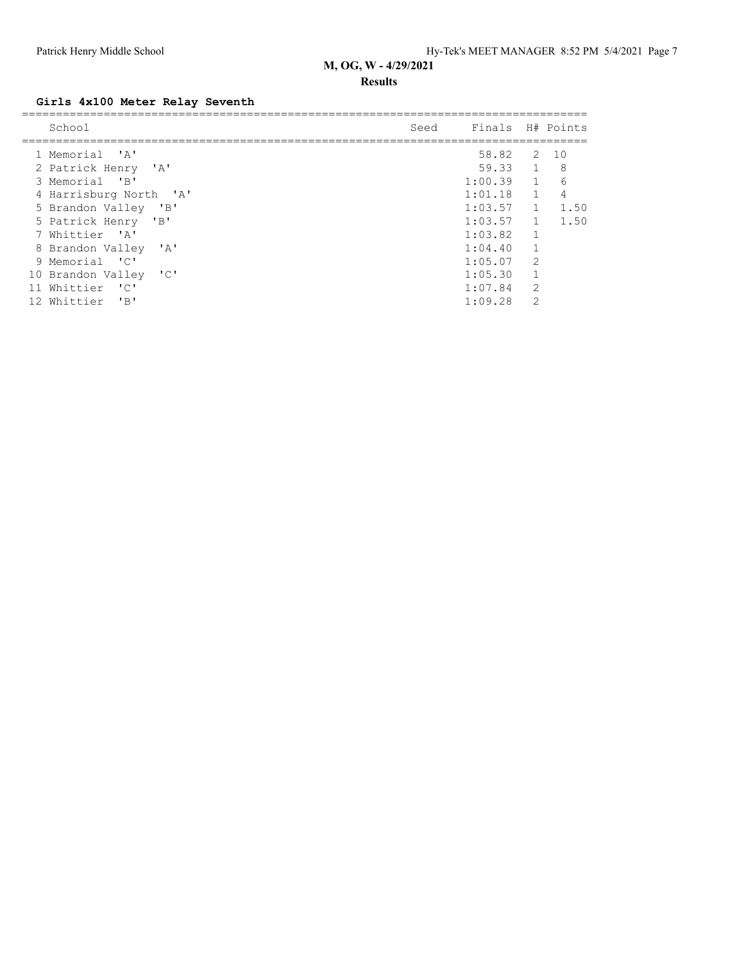#### **Results**

## **Girls 4x100 Meter Relay Seventh**

| School                                        | Seed | Finals H# Points |                |      |
|-----------------------------------------------|------|------------------|----------------|------|
|                                               |      |                  |                |      |
| 1 Memorial 'A'                                |      | 58.82            |                | 2 10 |
| 2 Patrick Henry 'A'                           |      | 59.33 1          |                | - 8  |
| 3 Memorial<br>$^{\prime}$ B <sup>1</sup>      |      | 1:00.39          | $\overline{1}$ | 6    |
| 4 Harrisburg North 'A'                        |      | 1:01.18          | $\mathbf{1}$   | 4    |
| 5 Brandon Valley 'B'                          |      | 1:03.57          | $\mathbf{1}$   | 1.50 |
| 5 Patrick Henry 'B'                           |      | 1:03.57          | $\mathbf{1}$   | 1.50 |
| 7 Whittier 'A'                                |      | 1:03.82          | $\mathbf{1}$   |      |
| 8 Brandon Valley<br>$^{\prime}$ A $^{\prime}$ |      | 1:04.40          | $\mathbf{1}$   |      |
| 9 Memorial 'C'                                |      | 1:05.07          | $\mathcal{P}$  |      |
| 10 Brandon Valley 'C'                         |      | 1:05.30          | $\mathbf{1}$   |      |
| Whittier 'C'<br>11                            |      | 1:07.84          | 2              |      |
| $^{\prime}$ R <sup>1</sup><br>12 Whittier     |      | 1:09.28          | $\mathcal{D}$  |      |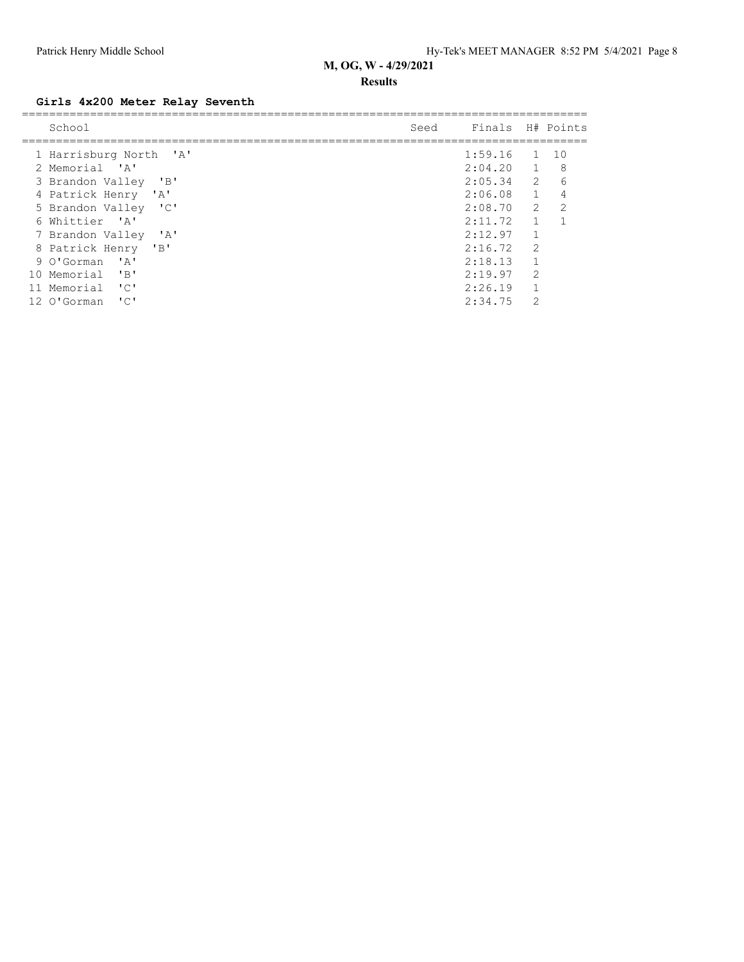#### **Results**

## **Girls 4x200 Meter Relay Seventh**

| School                                                          | Seed | Finals H# Points |                |               |
|-----------------------------------------------------------------|------|------------------|----------------|---------------|
|                                                                 |      |                  |                |               |
| 1 Harrisburg North 'A'                                          |      | 1:59.16          | $\overline{1}$ | 10            |
| 2 Memorial 'A'                                                  |      | 2:04.20 1        |                | 8             |
| "B"<br>3 Brandon Valley                                         |      | $2:05.34$ 2      |                | 6             |
| 4 Patrick Henry 'A'                                             |      | 2:06.08          | $\sim$ 1       | 4             |
| 5 Brandon Valley<br>$\cdot$ C $\cdot$                           |      | 2:08.70          | 2              | $\mathcal{L}$ |
| 6 Whittier 'A'                                                  |      | 2:11.72          | $\mathbf{1}$   |               |
| 7 Brandon Valley<br>$^{\prime}$ A $^{\prime}$                   |      | 2:12.97          | $\mathbf{1}$   |               |
| 8 Patrick Henry<br>$^{\prime}$ B <sup><math>\prime</math></sup> |      | 2:16.72          | $\mathcal{P}$  |               |
| $\mathsf{I} \wedge \mathsf{I}$<br>9 O'Gorman                    |      | 2:18.13          | $\mathbf{1}$   |               |
| 10 Memorial<br>"B"                                              |      | 2:19.97          | $\overline{2}$ |               |
| $\cdot$ C $\cdot$<br>11 Memorial                                |      | 2:26.19          | $\mathbf{1}$   |               |
| "C"<br>12 O'Gorman                                              |      | 2:34.75          | $\mathcal{P}$  |               |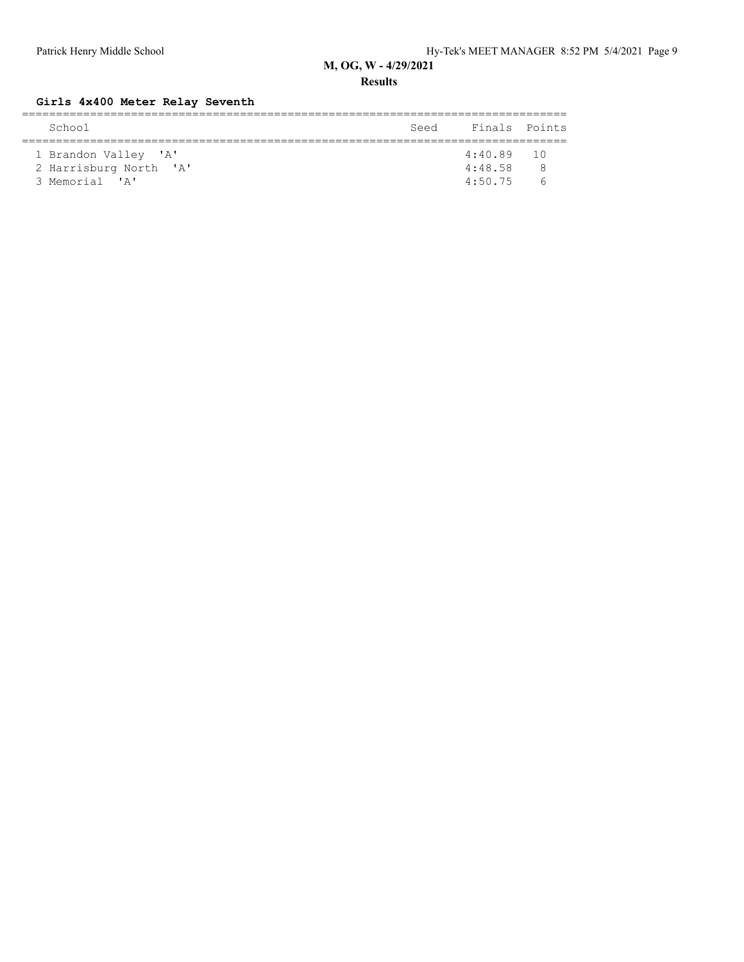**Results**

## **Girls 4x400 Meter Relay Seventh**

| School                 | Seed | Finals Points |          |  |  |  |  |  |  |
|------------------------|------|---------------|----------|--|--|--|--|--|--|
|                        |      |               |          |  |  |  |  |  |  |
| 1 Brandon Valley 'A'   |      | $4:40.89$ 10  |          |  |  |  |  |  |  |
| 2 Harrisburg North 'A' |      | 4:48.58       | - 8      |  |  |  |  |  |  |
| 3 Memorial 'A'         |      | 4:50.75       | $\sim$ 6 |  |  |  |  |  |  |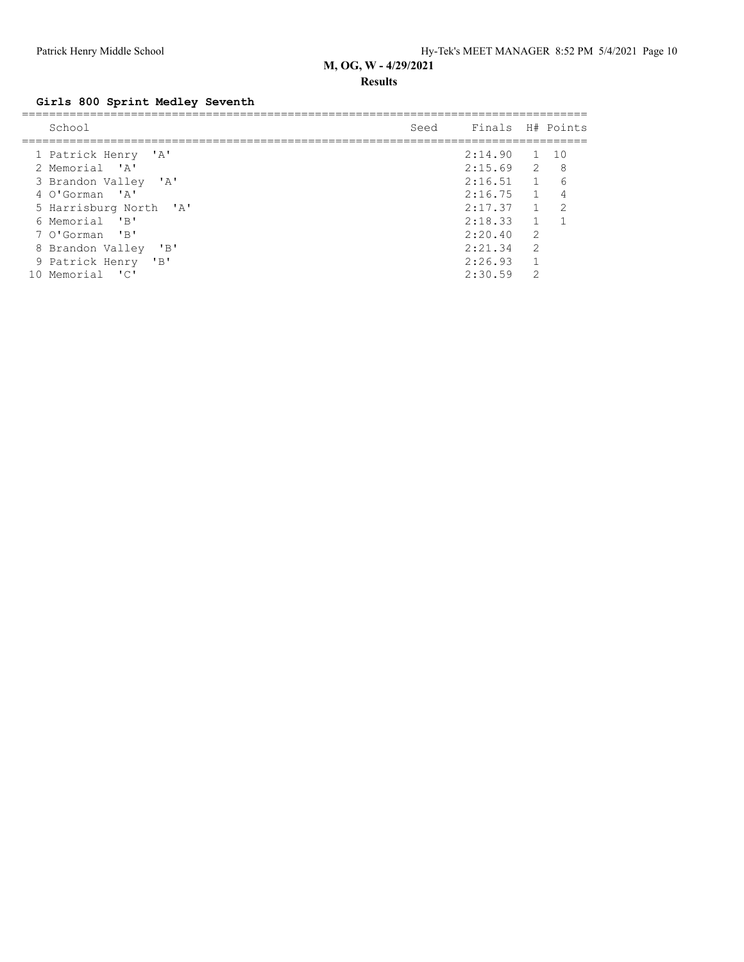#### **Results**

# **Girls 800 Sprint Medley Seventh**

| School                                                              | Seed Finals H# Points |                |     |
|---------------------------------------------------------------------|-----------------------|----------------|-----|
|                                                                     |                       |                |     |
| 1 Patrick Henry 'A'                                                 | $2:14.90$ 1 10        |                |     |
| 2 Memorial 'A'                                                      | $2:15.69$ 2           |                | - 8 |
| 3 Brandon Valley 'A'                                                | 2:16.51               | $\overline{1}$ | 6   |
| 4 O'Gorman 'A'                                                      | 2:16.75               | $\overline{1}$ |     |
| 5 Harrisburg North 'A'                                              | 2:17.37               | $\mathbf{1}$   | 2   |
| 6 Memorial 'B'                                                      | 2:18.33               | $\mathbf{1}$   |     |
| 7 O'Gorman 'B'                                                      | 2:20.40               | $\overline{2}$ |     |
| $^{\prime}$ B <sup><math>^{\prime}</math></sup><br>8 Brandon Valley | 2:21.34               | $\overline{2}$ |     |
| 9 Patrick Henry 'B'                                                 | 2:26.93               | $\mathbf{1}$   |     |
| $\overline{\phantom{a}}$<br>Memorial<br>10                          | 2:30.59               | $\mathcal{D}$  |     |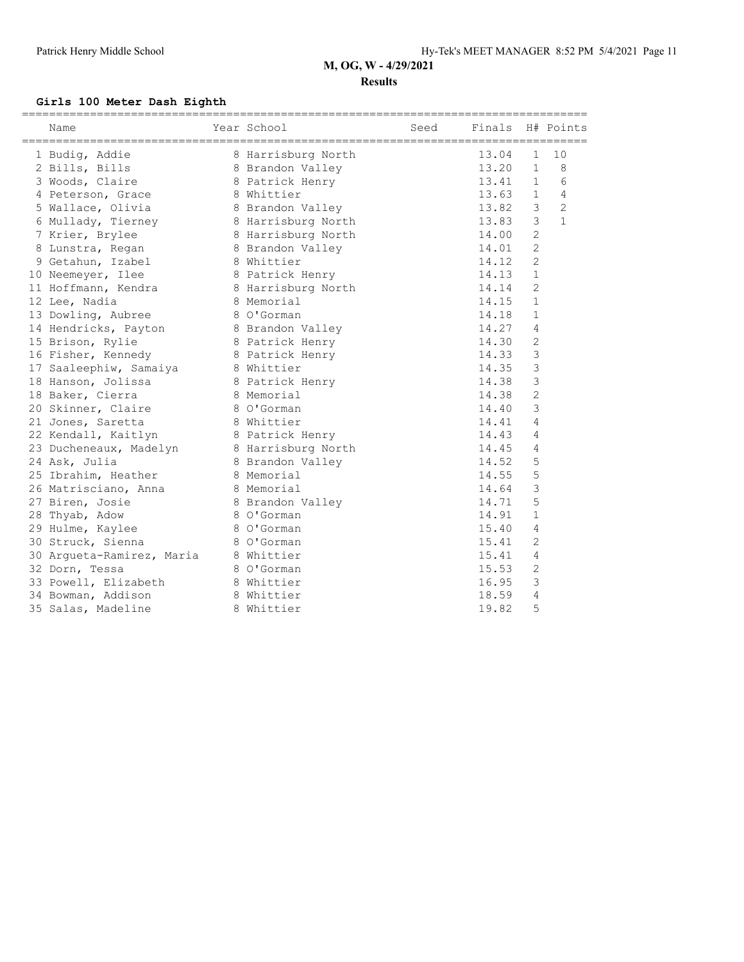#### **Results**

#### **Girls 100 Meter Dash Eighth**

| Name                                  | Year School        | Seed | Finals H# Points |                |                |
|---------------------------------------|--------------------|------|------------------|----------------|----------------|
| 1 Budiq, Addie                        | 8 Harrisburg North |      | 13.04            | 1              | 10             |
| 2 Bills, Bills                        | 8 Brandon Valley   |      | 13.20            | $\mathbf{1}$   | 8              |
| 3 Woods, Claire                       | 8 Patrick Henry    |      | 13.41            | $\mathbf{1}$   | 6              |
| 4 Peterson, Grace                     | 8 Whittier         |      | 13.63            | $\mathbf{1}$   | 4              |
| 5 Wallace, Olivia                     | 8 Brandon Valley   |      | 13.82            | 3              | $\overline{2}$ |
| 6 Mullady, Tierney                    | 8 Harrisburg North |      | 13.83            | 3              | $\mathbf{1}$   |
| 7 Krier, Brylee                       | 8 Harrisburg North |      | 14.00            | $\overline{c}$ |                |
| 8 Lunstra, Regan                      | 8 Brandon Valley   |      | 14.01            | $\mathbf{2}$   |                |
| 9 Getahun, Izabel                     | 8 Whittier         |      | 14.12            | $\mathbf{2}$   |                |
| 10 Neemeyer, Ilee                     | 8 Patrick Henry    |      | 14.13            | $\mathbf{1}$   |                |
| 11 Hoffmann, Kendra                   | 8 Harrisburg North |      | 14.14            | $\overline{2}$ |                |
| 12 Lee, Nadia                         | 8 Memorial         |      | 14.15            | $\mathbf{1}$   |                |
| 13 Dowling, Aubree                    | 8 O'Gorman         |      | 14.18            | $\mathbf{1}$   |                |
| 14 Hendricks, Payton 8 Brandon Valley |                    |      | 14.27            | 4              |                |
| 15 Brison, Rylie                      | 8 Patrick Henry    |      | 14.30            | $\overline{c}$ |                |
| 16 Fisher, Kennedy                    | 8 Patrick Henry    |      | 14.33            | 3              |                |
| 17 Saaleephiw, Samaiya                | 8 Whittier         |      | 14.35            | 3              |                |
| 18 Hanson, Jolissa                    | 8 Patrick Henry    |      | 14.38            | 3              |                |
| 18 Baker, Cierra                      | 8 Memorial         |      | 14.38            | $\mathbf{2}$   |                |
| 20 Skinner, Claire                    | 8 O'Gorman         |      | 14.40            | 3              |                |
| 21 Jones, Saretta                     | 8 Whittier         |      | 14.41            | $\overline{4}$ |                |
| 22 Kendall, Kaitlyn                   | 8 Patrick Henry    |      | 14.43            | 4              |                |
| 23 Ducheneaux, Madelyn                | 8 Harrisburg North |      | 14.45            | 4              |                |
| 24 Ask, Julia                         | 8 Brandon Valley   |      | 14.52            | 5              |                |
| 25 Ibrahim, Heather                   | 8 Memorial         |      | 14.55            | 5              |                |
| 26 Matrisciano, Anna                  | 8 Memorial         |      | 14.64            | 3              |                |
| 27 Biren, Josie                       | 8 Brandon Valley   |      | 14.71            | 5              |                |
| 28 Thyab, Adow                        | 8 O'Gorman         |      | 14.91            | $\mathbf{1}$   |                |
| 29 Hulme, Kaylee                      | 8 O'Gorman         |      | 15.40            | 4              |                |
| 30 Struck, Sienna                     | 8 O'Gorman         |      | 15.41            | $\overline{c}$ |                |
| 30 Argueta-Ramirez, Maria 8 Whittier  |                    |      | 15.41            | 4              |                |
| 32 Dorn, Tessa                        | 8 O'Gorman         |      | 15.53            | $\overline{c}$ |                |
| 33 Powell, Elizabeth                  | 8 Whittier         |      | 16.95            | 3              |                |
| 34 Bowman, Addison                    | 8 Whittier         |      | 18.59            | 4              |                |
| 35 Salas, Madeline                    | 8 Whittier         |      | 19.82            | 5              |                |
|                                       |                    |      |                  |                |                |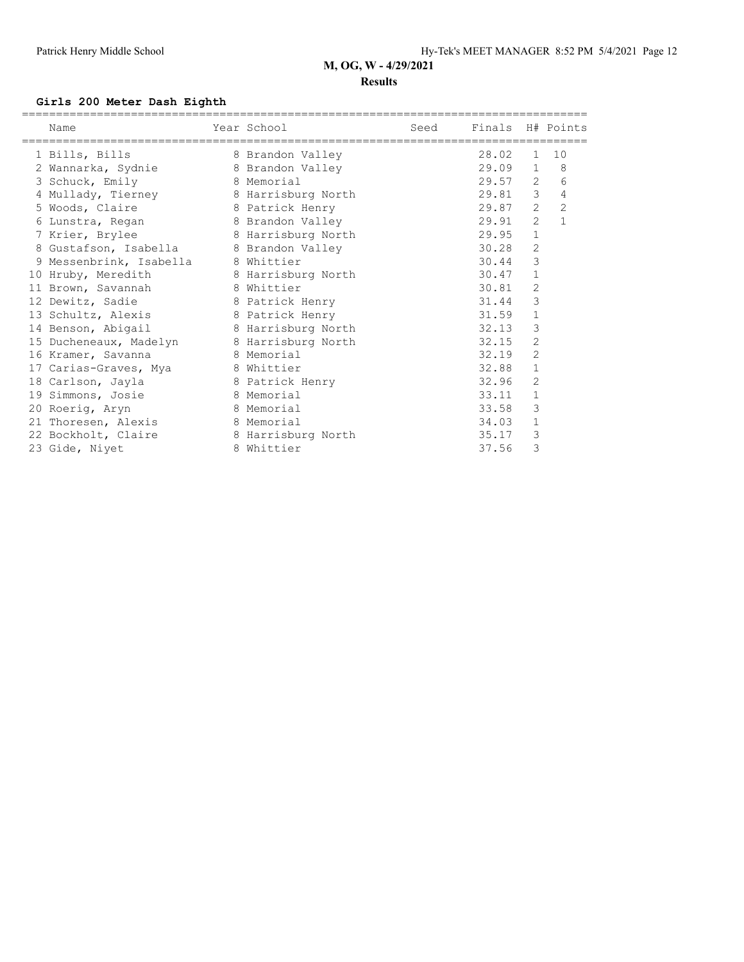#### **Results**

#### **Girls 200 Meter Dash Eighth**

| Name                                   | Year School        | Seed | Finals H# Points |                |                |
|----------------------------------------|--------------------|------|------------------|----------------|----------------|
| 1 Bills, Bills                         | 8 Brandon Valley   |      | 28.02            | $\mathbf{1}$   | 10             |
| 2 Wannarka, Sydnie                     | 8 Brandon Valley   |      | 29.09            | $\mathbf{1}$   | 8              |
| 3 Schuck, Emily                        | 8 Memorial         |      | 29.57            | $\overline{2}$ | 6              |
| 4 Mullady, Tierney                     | 8 Harrisburg North |      | 29.81            | $\mathcal{E}$  | $\sqrt{4}$     |
| 5 Woods, Claire                        | 8 Patrick Henry    |      | 29.87            | $\overline{2}$ | $\overline{c}$ |
| 6 Lunstra, Regan                       | 8 Brandon Valley   |      | 29.91            | $\overline{2}$ | $\mathbf{1}$   |
| 7 Krier, Brylee                        | 8 Harrisburg North |      | 29.95            | $\mathbf{1}$   |                |
| 8 Gustafson, Isabella 8 Brandon Valley |                    |      | 30.28            | $\mathbf{2}$   |                |
| 9 Messenbrink, Isabella                | 8 Whittier         |      | 30.44            | 3              |                |
| 10 Hruby, Meredith                     | 8 Harrisburg North |      | 30.47            | $\mathbf 1$    |                |
| 11 Brown, Savannah                     | 8 Whittier         |      | 30.81            | 2              |                |
| 12 Dewitz, Sadie                       | 8 Patrick Henry    |      | 31.44            | $\mathsf 3$    |                |
| 13 Schultz, Alexis                     | 8 Patrick Henry    |      | 31.59            | $\mathbf 1$    |                |
| 14 Benson, Abigail                     | 8 Harrisburg North |      | 32.13            | 3              |                |
| 15 Ducheneaux, Madelyn                 | 8 Harrisburg North |      | 32.15            | $\overline{2}$ |                |
| 16 Kramer, Savanna                     | 8 Memorial         |      | 32.19            | $\mathbf{2}$   |                |
| 17 Carias-Graves, Mya                  | 8 Whittier         |      | 32.88            | $\mathbf 1$    |                |
| 18 Carlson, Jayla                      | 8 Patrick Henry    |      | 32.96            | $\overline{2}$ |                |
| 19 Simmons, Josie                      | 8 Memorial         |      | 33.11            | $\mathbf 1$    |                |
| 20 Roerig, Aryn                        | 8 Memorial         |      | 33.58            | 3              |                |
| 21 Thoresen, Alexis                    | 8 Memorial         |      | 34.03            | $\mathbf 1$    |                |
| 22 Bockholt, Claire                    | 8 Harrisburg North |      | 35.17            | 3              |                |
| 23 Gide, Nivet                         | 8 Whittier         |      | 37.56            | 3              |                |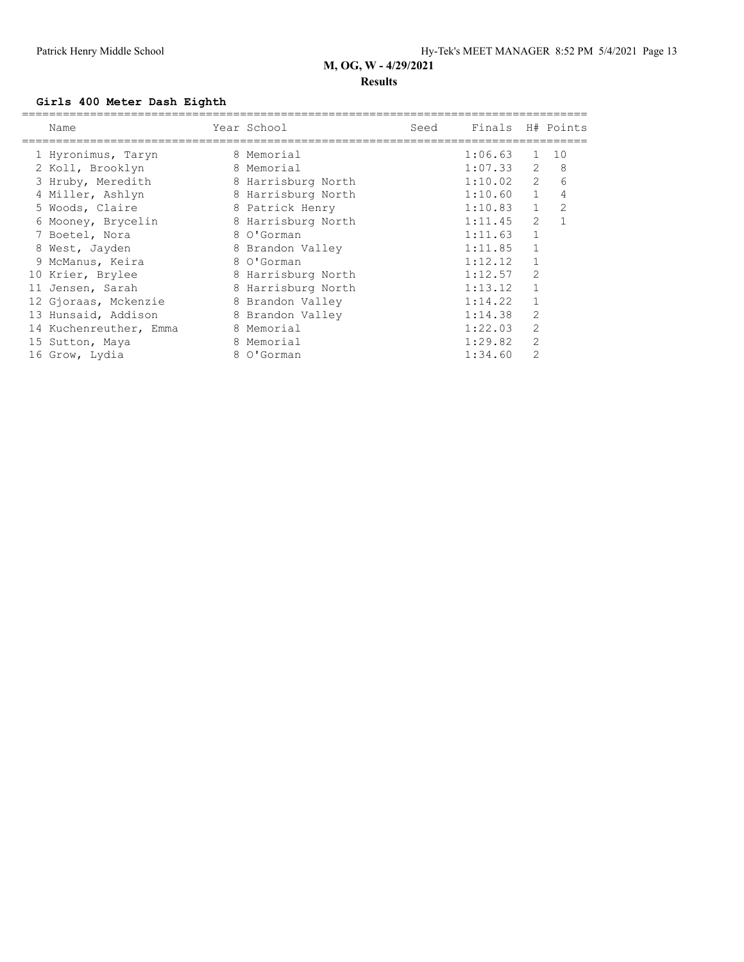#### **Results**

#### **Girls 400 Meter Dash Eighth**

| Name                   |   | Year School        | Seed | Finals H# Points |                |                |
|------------------------|---|--------------------|------|------------------|----------------|----------------|
| 1 Hyronimus, Taryn     |   | 8 Memorial         |      | 1:06.63          | $\mathbf{1}$   | 10             |
| 2 Koll, Brooklyn       | 8 | Memorial           |      | 1:07.33          | 2              | 8              |
| 3 Hruby, Meredith      |   | 8 Harrisburg North |      | 1:10.02          | $\overline{2}$ | 6              |
| 4 Miller, Ashlyn       |   | 8 Harrisburg North |      | 1:10.60          | $\mathbf{1}$   | 4              |
| 5 Woods, Claire        |   | 8 Patrick Henry    |      | 1:10.83          | $\mathbf{1}$   | $\overline{2}$ |
| 6 Mooney, Brycelin     |   | 8 Harrisburg North |      | 1:11.45          | $\overline{2}$ |                |
| 7 Boetel, Nora         |   | 8 O'Gorman         |      | 1:11.63          | $\mathbf{1}$   |                |
| 8 West, Jayden         |   | 8 Brandon Valley   |      | 1:11.85          |                |                |
| 9 McManus, Keira       |   | 8 O'Gorman         |      | 1:12.12          | $\mathbf{1}$   |                |
| 10 Krier, Brylee       |   | 8 Harrisburg North |      | 1:12.57          | $\overline{2}$ |                |
| 11 Jensen, Sarah       |   | 8 Harrisburg North |      | 1:13.12          | $\mathbf{1}$   |                |
| 12 Gjoraas, Mckenzie   |   | 8 Brandon Valley   |      | 1:14.22          | $\mathbf{1}$   |                |
| 13 Hunsaid, Addison    |   | 8 Brandon Valley   |      | 1:14.38          | $\overline{c}$ |                |
| 14 Kuchenreuther, Emma | 8 | Memorial           |      | 1:22.03          | $\overline{2}$ |                |
| 15 Sutton, Maya        | 8 | Memorial           |      | 1:29.82          | $\overline{2}$ |                |
| 16 Grow, Lydia         | 8 | O'Gorman           |      | 1:34.60          | $\overline{2}$ |                |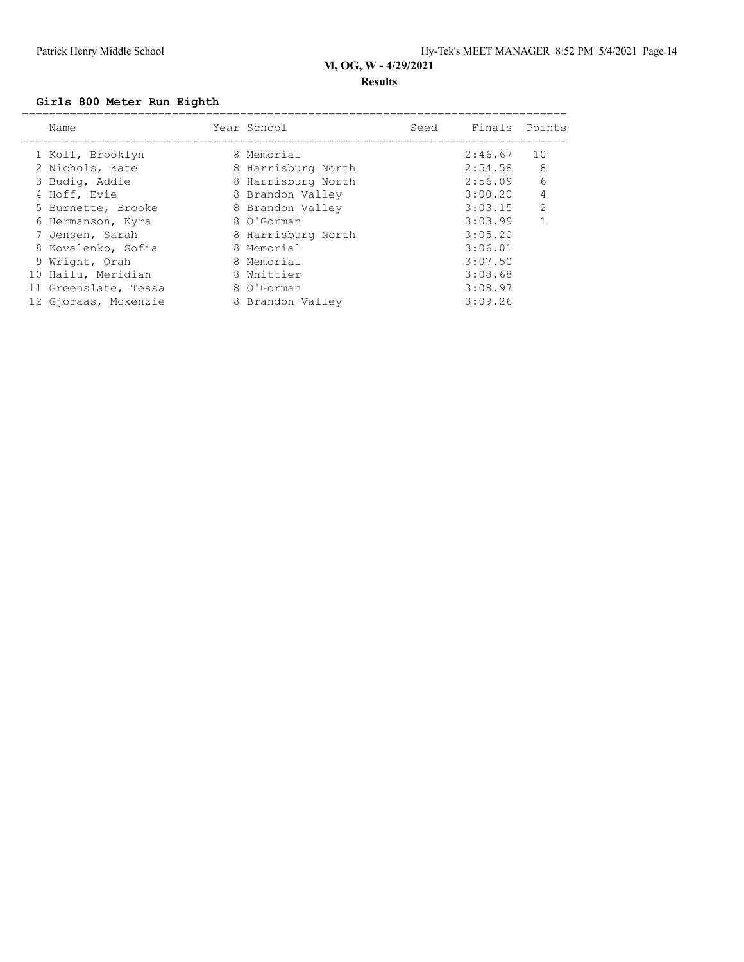#### **Results**

#### **Girls 800 Meter Run Eighth**

| Name                 | Year School        | Seed | Finals  | Points         |
|----------------------|--------------------|------|---------|----------------|
| 1 Koll, Brooklyn     | 8 Memorial         |      | 2:46.67 | 10             |
| 2 Nichols, Kate      | 8 Harrisburg North |      | 2:54.58 | 8              |
| 3 Budig, Addie       | 8 Harrisburg North |      | 2:56.09 | 6              |
| 4 Hoff, Evie         | 8 Brandon Valley   |      | 3:00.20 | 4              |
| 5 Burnette, Brooke   | 8 Brandon Valley   |      | 3:03.15 | $\overline{2}$ |
| 6 Hermanson, Kyra    | 8 O'Gorman         |      | 3:03.99 |                |
| 7 Jensen, Sarah      | 8 Harrisburg North |      | 3:05.20 |                |
| 8 Kovalenko, Sofia   | 8 Memorial         |      | 3:06.01 |                |
| 9 Wright, Orah       | 8 Memorial         |      | 3:07.50 |                |
| 10 Hailu, Meridian   | 8 Whittier         |      | 3:08.68 |                |
| 11 Greenslate, Tessa | 8 O'Gorman         |      | 3:08.97 |                |
| 12 Gioraas, Mckenzie | 8 Brandon Valley   |      | 3:09.26 |                |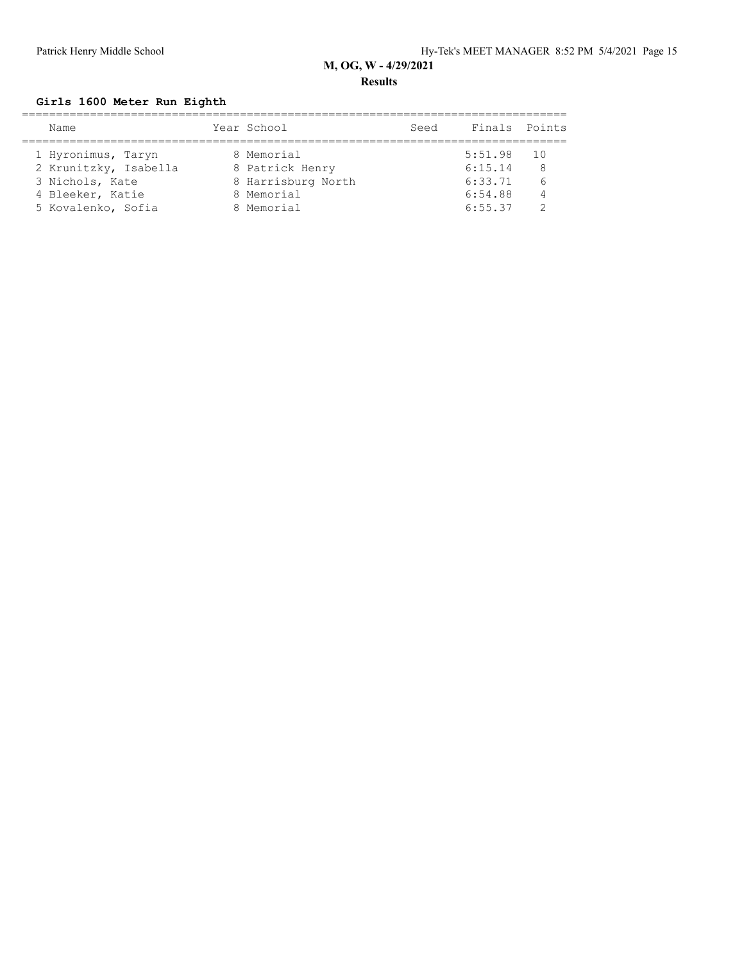#### **Results**

#### **Girls 1600 Meter Run Eighth**

| Name                  | Year School        | Seed | Finals Points |                 |
|-----------------------|--------------------|------|---------------|-----------------|
|                       |                    |      |               |                 |
| 1 Hyronimus, Taryn    | 8 Memorial         |      | 5:51.98       | $\overline{10}$ |
| 2 Krunitzky, Isabella | 8 Patrick Henry    |      | 6:15.14       | 8               |
| 3 Nichols, Kate       | 8 Harrisburg North |      | 6:33.71       | 6               |
| 4 Bleeker, Katie      | 8 Memorial         |      | 6:54.88       | $\overline{4}$  |
| 5 Kovalenko, Sofia    | 8 Memorial         |      | 6:55.37       |                 |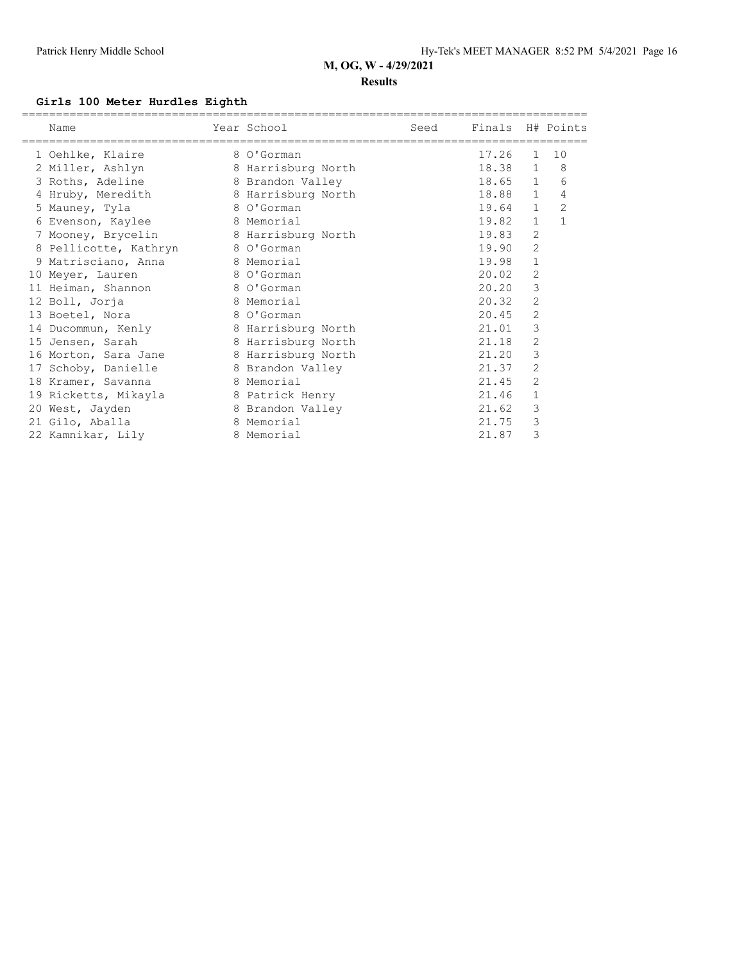#### **Results**

#### **Girls 100 Meter Hurdles Eighth**

| Name                  | Year School        | Seed | Finals H# Points |                |              |
|-----------------------|--------------------|------|------------------|----------------|--------------|
| 1 Oehlke, Klaire      | 8 O'Gorman         |      | 17.26            | $\mathbf{1}$   | 10           |
| 2 Miller, Ashlyn      | 8 Harrisburg North |      | 18.38            | $\mathbf{1}$   | 8            |
| 3 Roths, Adeline      | 8 Brandon Valley   |      | 18.65            | $\mathbf{1}$   | 6            |
| 4 Hruby, Meredith     | 8 Harrisburg North |      | 18.88            | $\mathbf{1}$   | 4            |
| 5 Mauney, Tyla        | 8 O'Gorman         |      | 19.64            | $\mathbf{1}$   | $\mathbf{2}$ |
| 6 Evenson, Kaylee     | 8 Memorial         |      | 19.82            | $\mathbf{1}$   | $\mathbf{1}$ |
| 7 Mooney, Brycelin    | 8 Harrisburg North |      | 19.83            | $\overline{c}$ |              |
| 8 Pellicotte, Kathryn | 8 O'Gorman         |      | 19.90            | 2              |              |
| 9 Matrisciano, Anna   | 8 Memorial         |      | 19.98            | 1              |              |
| 10 Meyer, Lauren      | 8 O'Gorman         |      | 20.02            | 2              |              |
| 11 Heiman, Shannon    | 8 O'Gorman         |      | 20.20            | 3              |              |
| 12 Boll, Jorja        | 8 Memorial         |      | 20.32            | $\overline{2}$ |              |
| 13 Boetel, Nora       | 8 O'Gorman         |      | 20.45            | $\overline{2}$ |              |
| 14 Ducommun, Kenly    | 8 Harrisburg North |      | 21.01            | 3              |              |
| 15 Jensen, Sarah      | 8 Harrisburg North |      | 21.18            | 2              |              |
| 16 Morton, Sara Jane  | 8 Harrisburg North |      | 21.20            | 3              |              |
| 17 Schoby, Danielle   | 8 Brandon Valley   |      | 21.37            | 2              |              |
| 18 Kramer, Savanna    | 8 Memorial         |      | 21.45            | 2              |              |
| 19 Ricketts, Mikayla  | 8 Patrick Henry    |      | 21.46            | 1              |              |
| 20 West, Jayden       | 8 Brandon Valley   |      | 21.62            | 3              |              |
| 21 Gilo, Aballa       | 8 Memorial         |      | 21.75            | 3              |              |
| 22 Kamnikar, Lily     | 8 Memorial         |      | 21.87            | 3              |              |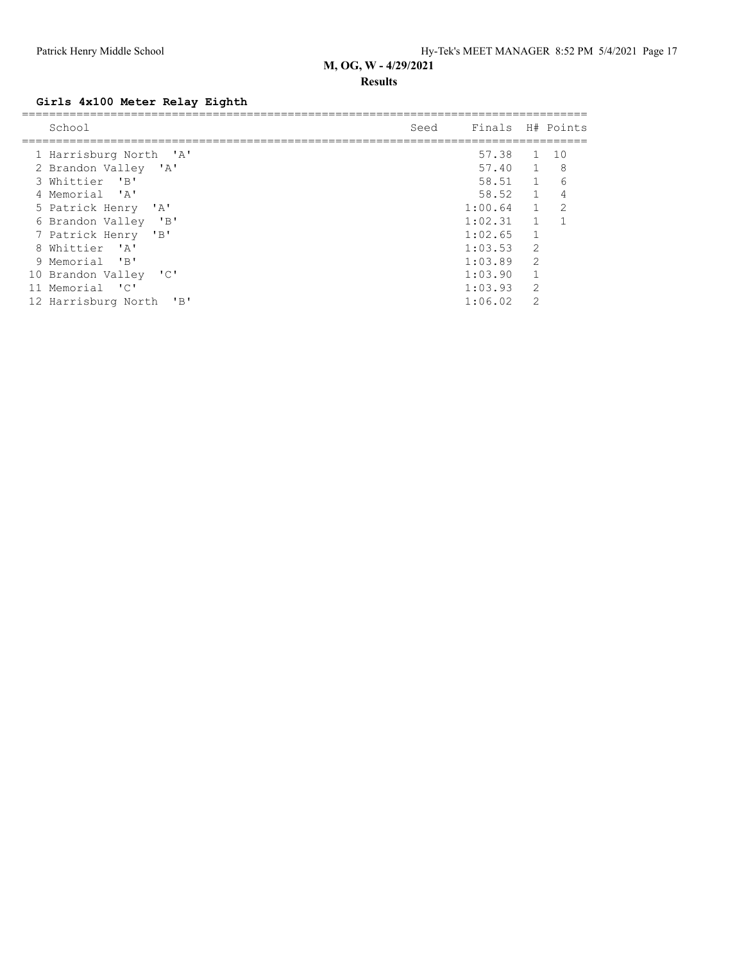#### **Results**

## **Girls 4x100 Meter Relay Eighth**

|   | School                                                          | Seed | Finals H# Points |                |                |
|---|-----------------------------------------------------------------|------|------------------|----------------|----------------|
|   |                                                                 |      |                  |                |                |
|   | 1 Harrisburg North 'A'                                          |      | 57.38            | 1              | 10             |
|   | 2 Brandon Valley 'A'                                            |      | 57.40            | $\sim$ 1       | - 8            |
|   | $^{\prime}$ B <sup><math>\prime</math></sup><br>3 Whittier      |      | 58.51            | $\sim$ 1       | 6              |
|   | 4 Memorial 'A'                                                  |      | 58.52            | $\sim$ 1       | 4              |
|   | 5 Patrick Henry<br>$^{\prime}$ A $^{\prime}$                    |      | 1:00.64          | $\sim$ 1       | $\mathfrak{D}$ |
|   | $\mathbf{B}$<br>6 Brandon Valley                                |      | 1:02.31          | $\sim$ 1       |                |
|   | 7 Patrick Henry<br>$^{\prime}$ B <sup><math>\prime</math></sup> |      | 1:02.65          | $\mathbf{1}$   |                |
| 8 | Whittier<br>$\mathsf{Z}$                                        |      | 1:03.53          | 2              |                |
|   | 9 Memorial 'B'                                                  |      | 1:03.89          | $\overline{2}$ |                |
|   | $\cdot$ 'C'<br>10 Brandon Valley                                |      | 1:03.90          | 1              |                |
|   | 11 Memorial 'C'                                                 |      | 1:03.93          | $\overline{2}$ |                |
|   | "B"<br>12 Harrisburg North                                      |      | 1:06.02          | $\mathcal{D}$  |                |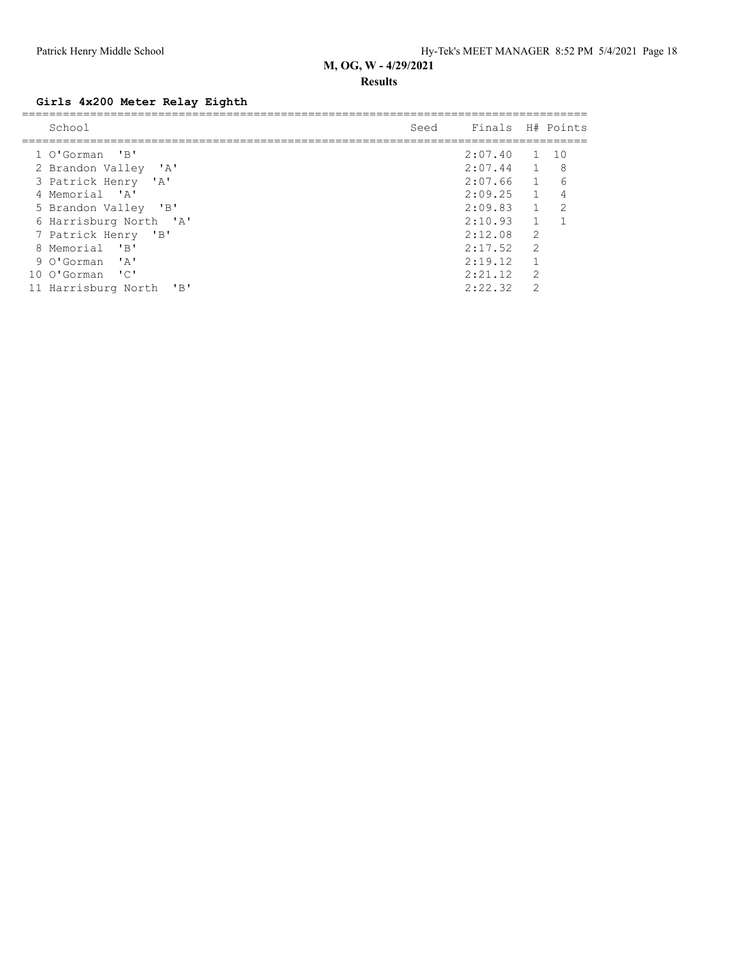#### **Results**

## **Girls 4x200 Meter Relay Eighth**

| School                                                                                                                  | Seed | Finals H# Points |                |       |
|-------------------------------------------------------------------------------------------------------------------------|------|------------------|----------------|-------|
| 1 O'Gorman 'B'                                                                                                          |      | 2:07.40 1        |                | - 1 O |
| 2 Brandon Valley 'A'                                                                                                    |      | $2:07.44$ 1      |                | 8     |
| 3 Patrick Henry 'A'                                                                                                     |      | 2:07.66          | $\sim$ 1       | 6     |
| 4 Memorial 'A'                                                                                                          |      | 2:09.25          | $\overline{1}$ | 4     |
| $\overline{\phantom{a}}$ $\overline{\phantom{a}}$ $\overline{\phantom{a}}$ $\overline{\phantom{a}}$<br>5 Brandon Valley |      | 2:09.83          | $\overline{1}$ | 2     |
| 6 Harrisburg North 'A'                                                                                                  |      | 2:10.93          |                |       |
| 7 Patrick Henry 'B'                                                                                                     |      | 2:12.08          | 2              |       |
| $^{\prime}$ B <sup><math>^{\prime}</math></sup><br>Memorial<br>8                                                        |      | 2:17.52          | 2              |       |
| 9 O'Gorman 'A'                                                                                                          |      | 2:19.12          |                |       |
| $\cdot$ C $\cdot$<br>10 O'Gorman                                                                                        |      | 2:21.12          | $\overline{2}$ |       |
| $\mathbf{B}$<br>11 Harrisburg North                                                                                     |      | 2:22.32          | $\mathcal{D}$  |       |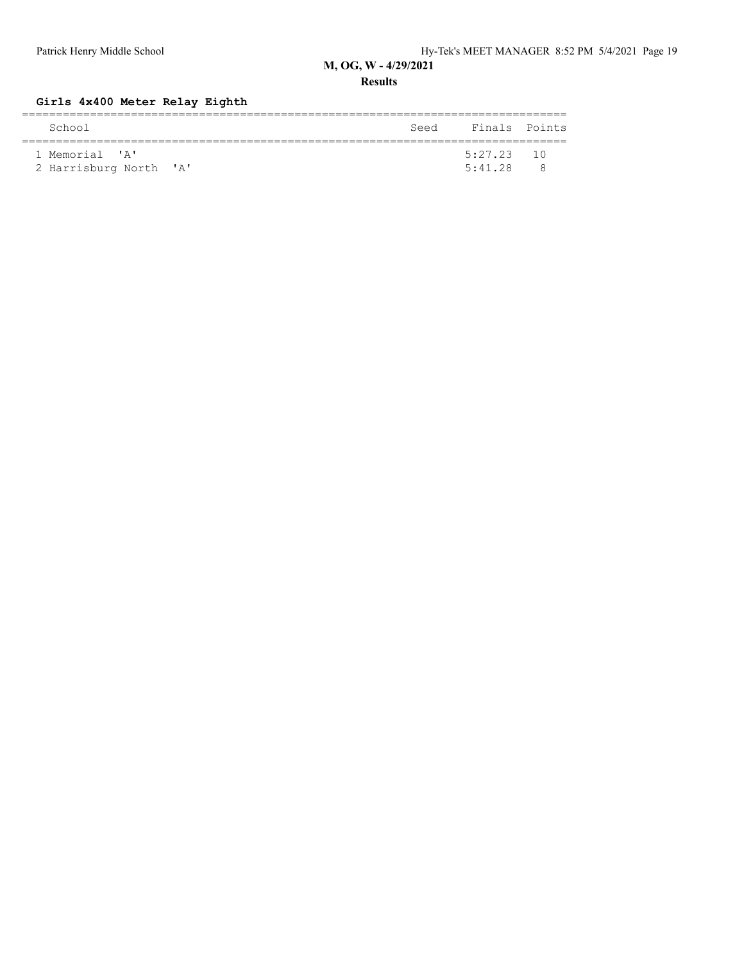**Results**

## **Girls 4x400 Meter Relay Eighth**

| School                 | Seed Finals Points |   |
|------------------------|--------------------|---|
|                        |                    |   |
| 1 Memorial 'A'         | $5:27.23$ 10       |   |
| 2 Harrisburg North 'A' | 5:41.28            | ₽ |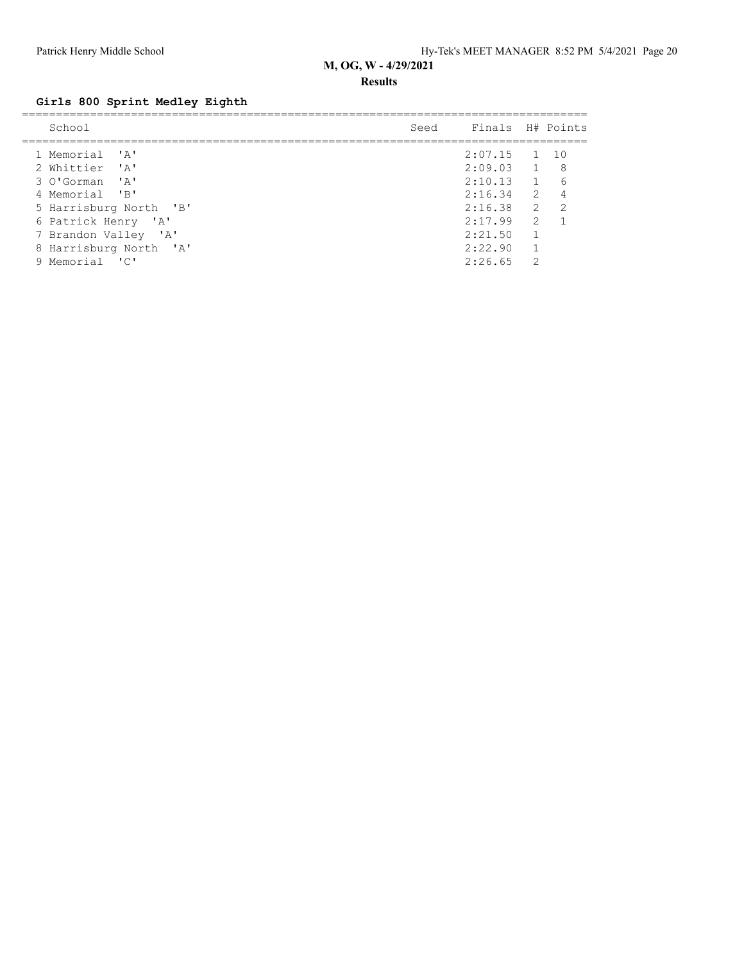#### **Results**

# **Girls 800 Sprint Medley Eighth**

| School                 | Seed | Finals H# Points |                |                |
|------------------------|------|------------------|----------------|----------------|
| 1 Memorial 'A'         |      | $2:07.15$ 1 10   |                |                |
| 2 Whittier 'A'         |      | $2:09.03$ 1 8    |                |                |
| 3 O'Gorman 'A'         |      | 2:10.13          | $1\quad 6$     |                |
| 4 Memorial 'B'         |      | $2:16.34$ 2      |                | $\overline{4}$ |
| 5 Harrisburg North 'B' |      | $2:16.38$ 2      |                | $\overline{2}$ |
| 6 Patrick Henry 'A'    |      | 2:17.99          | $\overline{2}$ |                |
| 7 Brandon Valley 'A'   |      | 2:21.50          | $\mathbf{1}$   |                |
| 8 Harrisburg North 'A' |      | 2:22.90          |                |                |
| Memorial 'C'           |      | 2:26.65          | 2              |                |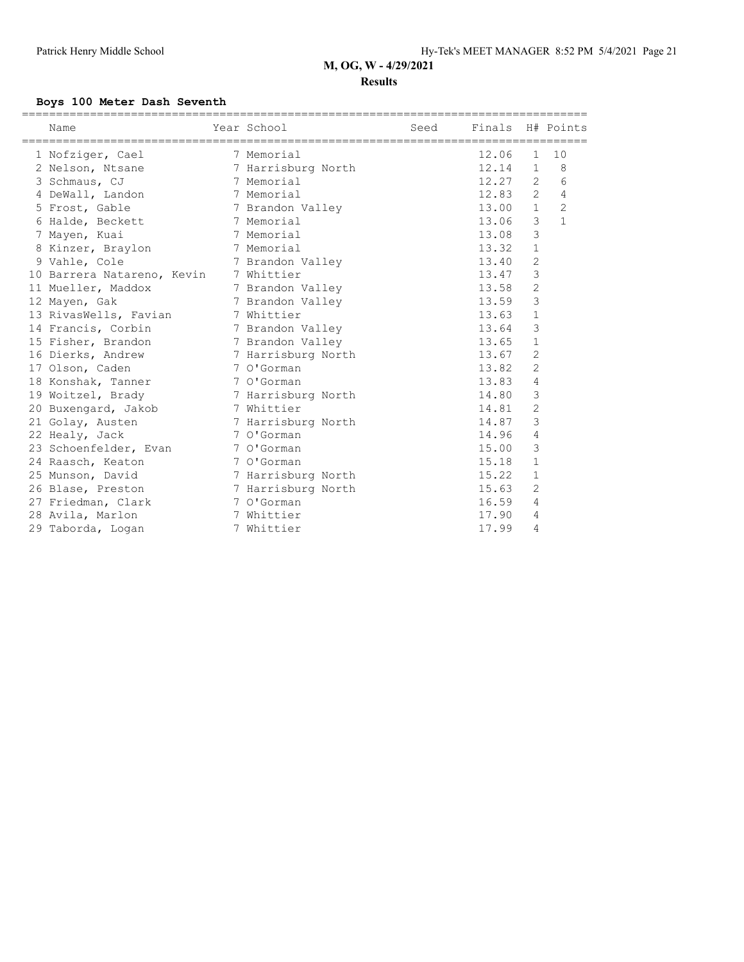#### **Results**

#### **Boys 100 Meter Dash Seventh**

| Name                         | Year School        | Seed | Finals H# Points |                |              |
|------------------------------|--------------------|------|------------------|----------------|--------------|
| 1 Nofziger, Cael             | 7 Memorial         |      | 12.06            | $\mathbf{1}$   | 10           |
| 2 Nelson, Ntsane             | 7 Harrisburg North |      | 12.14            | $\mathbf{1}$   | 8            |
| 3 Schmaus, CJ                | 7 Memorial         |      | 12.27            | 2              | 6            |
| 4 DeWall, Landon             | 7 Memorial         |      | 12.83            | $\overline{2}$ | 4            |
| 5 Frost, Gable               | 7 Brandon Valley   |      | 13.00 1          |                | $\mathbf{2}$ |
| 6 Halde, Beckett             | 7 Memorial         |      | 13.06            | 3              | $\mathbf{1}$ |
| 7 Mayen, Kuai                | 7 Memorial         |      | 13.08            | 3              |              |
| 8 Kinzer, Braylon 7 Memorial |                    |      | 13.32            | $\mathbf{1}$   |              |
| 9 Vahle, Cole                | 7 Brandon Valley   |      | 13.40            | $\overline{2}$ |              |
| 10 Barrera Natareno, Kevin   | 7 Whittier         |      | 13.47            | 3              |              |
| 11 Mueller, Maddox           | 7 Brandon Valley   |      | 13.58            | $\overline{2}$ |              |
| 12 Mayen, Gak                | 7 Brandon Valley   |      | 13.59            | 3              |              |
| 13 RivasWells, Favian        | 7 Whittier         |      | 13.63            | $\mathbf{1}$   |              |
| 14 Francis, Corbin           | 7 Brandon Valley   |      | 13.64            | 3              |              |
| 15 Fisher, Brandon           | 7 Brandon Valley   |      | 13.65            | $\mathbf{1}$   |              |
| 16 Dierks, Andrew            | 7 Harrisburg North |      | 13.67            | 2              |              |
| 17 Olson, Caden              | 7 O'Gorman         |      | 13.82            | $\overline{2}$ |              |
| 18 Konshak, Tanner           | 7 O'Gorman         |      | 13.83            | 4              |              |
| 19 Woitzel, Brady            | 7 Harrisburg North |      | 14.80            | 3              |              |
| 20 Buxengard, Jakob          | 7 Whittier         |      | 14.81            | $\overline{2}$ |              |
| 21 Golay, Austen             | 7 Harrisburg North |      | 14.87            | 3              |              |
| 22 Healy, Jack               | 7 O'Gorman         |      | 14.96            | 4              |              |
| 23 Schoenfelder, Evan        | 7 O'Gorman         |      | 15.00            | 3              |              |
| 24 Raasch, Keaton            | 7 O'Gorman         |      | 15.18            | $\mathbf{1}$   |              |
| 25 Munson, David             | 7 Harrisburg North |      | 15.22            | $\mathbf 1$    |              |
| 26 Blase, Preston            | 7 Harrisburg North |      | 15.63            | $\overline{2}$ |              |
| 27 Friedman, Clark           | 7 O'Gorman         |      | 16.59            | 4              |              |
| 28 Avila, Marlon             | 7 Whittier         |      | 17.90            | 4              |              |
| 29 Taborda, Logan            | 7 Whittier         |      | 17.99            | 4              |              |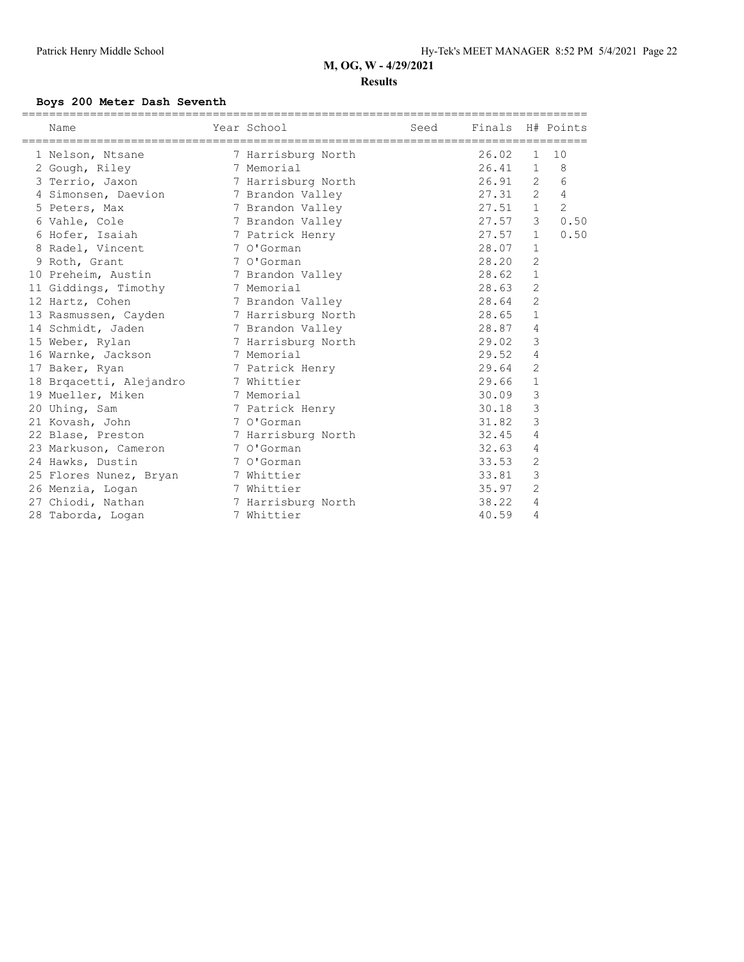#### **Results**

#### **Boys 200 Meter Dash Seventh**

| Name                                    | Year School Search School | Seed Finals H# Points |             |                |      |
|-----------------------------------------|---------------------------|-----------------------|-------------|----------------|------|
| 1 Nelson, Ntsane                        | 7 Harrisburg North        |                       | 26.02       | 1              | 10   |
| 2 Gough, Riley                          | 7 Memorial                |                       | 26.41       | $\mathbf{1}$   | 8    |
| 3 Terrio, Jaxon                         | 7 Harrisburg North        |                       | $26.91$ 2   |                | 6    |
| 4 Simonsen, Daevion 7 Brandon Valley    |                           |                       | $27.31$ 2 4 |                |      |
| 5 Peters, Max                           | 7 Brandon Valley          |                       | $27.51$ 1 2 |                |      |
| 6 Vahle, Cole                           | 7 Brandon Valley          |                       | 27.57       | 3              | 0.50 |
| 6 Hofer, Isaiah                         | 7 Patrick Henry           |                       | 27.57       | 1              | 0.50 |
| 8 Radel, Vincent                        | 7 O'Gorman                |                       | 28.07       | $\mathbf{1}$   |      |
| 9 Roth, Grant                           | 7 O'Gorman                |                       | 28.20       | $\overline{2}$ |      |
| 10 Preheim, Austin                      | 7 Brandon Valley          |                       | 28.62       | $\mathbf{1}$   |      |
| 11 Giddings, Timothy 7 Memorial         |                           |                       | 28.63       | $\overline{2}$ |      |
| 12 Hartz, Cohen                         | 7 Brandon Valley          |                       | 28.64       | $\overline{2}$ |      |
| 13 Rasmussen, Cayden 7 Harrisburg North |                           |                       | 28.65       | $\mathbf{1}$   |      |
| 14 Schmidt, Jaden                       | 7 Brandon Valley          |                       | 28.87       | 4              |      |
| 15 Weber, Rylan                         | 7 Harrisburg North        |                       | 29.02       | 3              |      |
| 16 Warnke, Jackson 7 Memorial           |                           |                       | 29.52       | $\overline{4}$ |      |
| 17 Baker, Ryan                          | 7 Patrick Henry           |                       | 29.64       | $\overline{2}$ |      |
| 18 Brqacetti, Alejandro 7 Whittier      |                           |                       | 29.66       | $\mathbf{1}$   |      |
| 19 Mueller, Miken                       | 7 Memorial                |                       | 30.09       | 3              |      |
| 20 Uhing, Sam                           | 7 Patrick Henry           |                       | 30.18       | 3              |      |
| 21 Kovash, John                         | 7 O'Gorman                |                       | 31.82       | 3              |      |
| 22 Blase, Preston 7 Harrisburg North    |                           |                       | 32.45       | 4              |      |
| 23 Markuson, Cameron 7 O'Gorman         |                           |                       | 32.63       | $\overline{4}$ |      |
| 24 Hawks, Dustin                        | 1 O'Gorman                |                       | 33.53       | $\overline{2}$ |      |
| 25 Flores Nunez, Bryan 7 Whittier       |                           |                       | 33.81       | $\mathcal{E}$  |      |
| 26 Menzia, Logan<br>7 Whittier          |                           |                       | 35.97       | $\overline{2}$ |      |
| 27 Chiodi, Nathan                       | 7 Harrisburg North        |                       | 38.22       | 4              |      |
| 28 Taborda, Logan                       | 7 Whittier                |                       | 40.59       | 4              |      |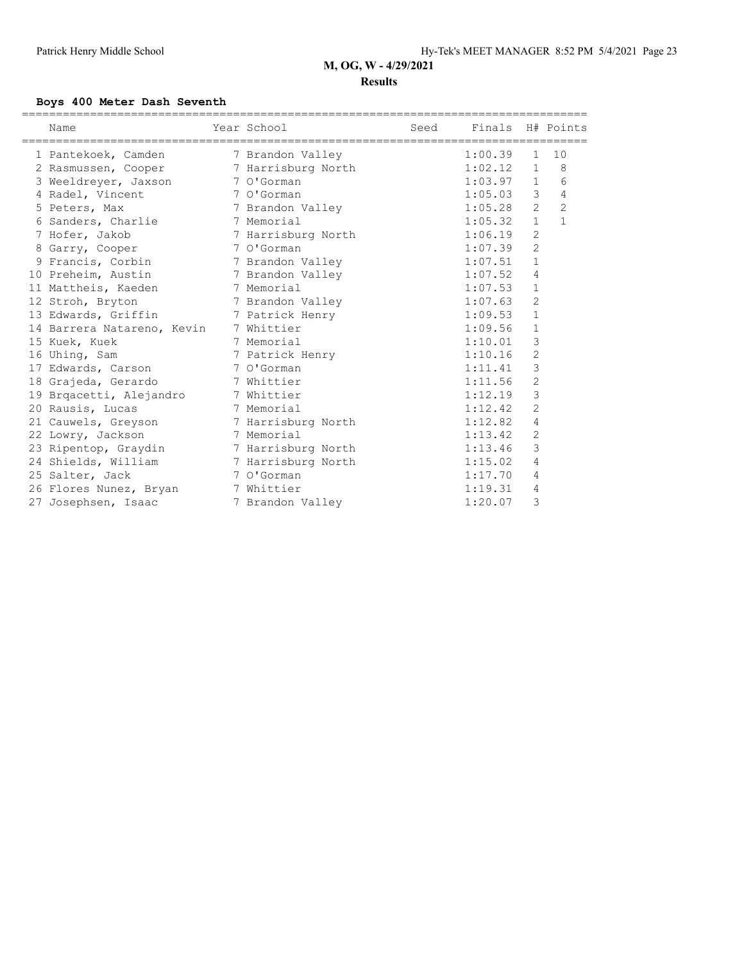#### **Results**

#### **Boys 400 Meter Dash Seventh**

| Name                                   | Year School        | Seed | Finals H# Points |                |                |
|----------------------------------------|--------------------|------|------------------|----------------|----------------|
| 1 Pantekoek, Camden                    | 7 Brandon Valley   |      | 1:00.39          | $\mathbf{1}$   | 10             |
| 2 Rasmussen, Cooper 7 Harrisburg North |                    |      | 1:02.12          | $\mathbf{1}$   | 8              |
| 3 Weeldreyer, Jaxson                   | 7 O'Gorman         |      | 1:03.97          | 1              | 6              |
| 4 Radel, Vincent                       | 7 O'Gorman         |      | 1:05.03          | $\mathfrak{Z}$ | 4              |
| 5 Peters, Max                          | 7 Brandon Valley   |      | 1:05.28          | $\overline{2}$ | $\overline{c}$ |
| 6 Sanders, Charlie                     | 7 Memorial         |      | 1:05.32          | $\mathbf{1}$   | $\mathbf{1}$   |
| 7 Hofer, Jakob                         | 7 Harrisburg North |      | 1:06.19          | $\overline{c}$ |                |
| 8 Garry, Cooper                        | 7 O'Gorman         |      | 1:07.39          | $\mathbf{2}$   |                |
| 9 Francis, Corbin                      | 7 Brandon Valley   |      | 1:07.51          | $\mathbf{1}$   |                |
| 10 Preheim, Austin                     | 7 Brandon Valley   |      | 1:07.52          | 4              |                |
| 11 Mattheis, Kaeden                    | 7 Memorial         |      | 1:07.53          | $\mathbf{1}$   |                |
| 12 Stroh, Bryton                       | 7 Brandon Valley   |      | 1:07.63          | $\overline{c}$ |                |
| 13 Edwards, Griffin                    | 7 Patrick Henry    |      | 1:09.53          | $\mathbf{1}$   |                |
| 14 Barrera Natareno, Kevin             | 7 Whittier         |      | 1:09.56          | $\mathbf{1}$   |                |
| 15 Kuek, Kuek                          | 7 Memorial         |      | 1:10.01          | 3              |                |
| 16 Uhing, Sam                          | 7 Patrick Henry    |      | 1:10.16          | $\overline{c}$ |                |
| 17 Edwards, Carson                     | 7 O'Gorman         |      | 1:11.41          | 3              |                |
| 18 Grajeda, Gerardo                    | 7 Whittier         |      | 1:11.56          | $\sqrt{2}$     |                |
| 19 Brqacetti, Alejandro                | 7 Whittier         |      | 1:12.19          | 3              |                |
| 20 Rausis, Lucas                       | 7 Memorial         |      | 1:12.42          | $\overline{c}$ |                |
| 21 Cauwels, Greyson                    | 7 Harrisburg North |      | 1:12.82          | 4              |                |
| 22 Lowry, Jackson                      | 7 Memorial         |      | 1:13.42          | $\overline{c}$ |                |
| 23 Ripentop, Graydin                   | 7 Harrisburg North |      | 1:13.46          | 3              |                |
| 24 Shields, William                    | 7 Harrisburg North |      | 1:15.02          | 4              |                |
| 25 Salter, Jack                        | 7 O'Gorman         |      | 1:17.70          | 4              |                |
| 26 Flores Nunez, Bryan 7 Whittier      |                    |      | 1:19.31          | 4              |                |
| 27 Josephsen, Isaac                    | 7 Brandon Valley   |      | 1:20.07          | 3              |                |
|                                        |                    |      |                  |                |                |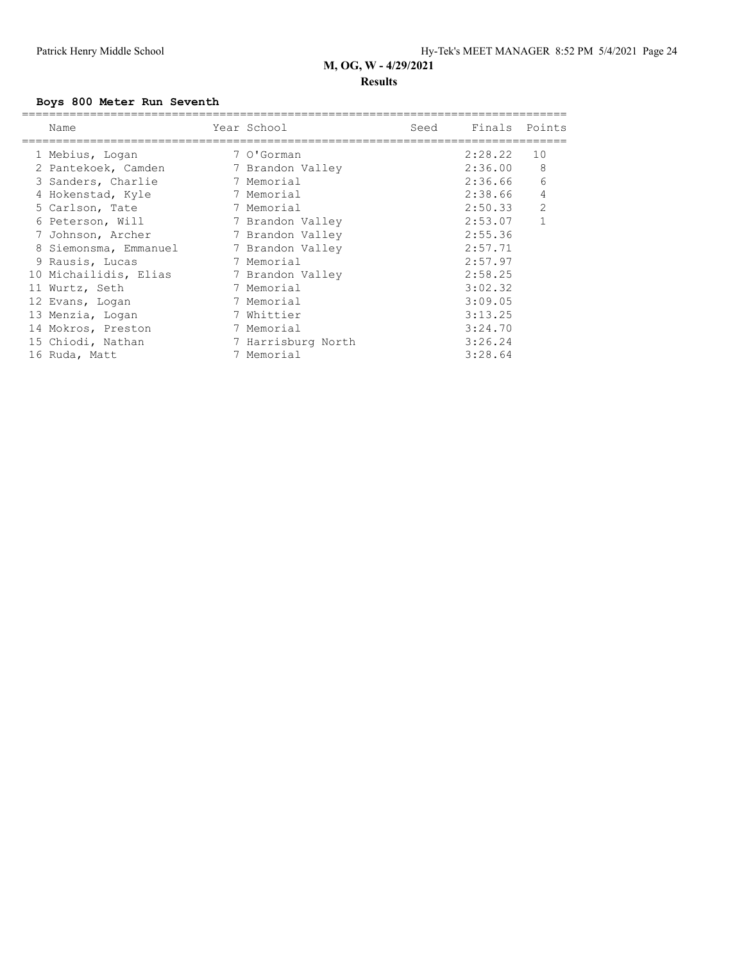#### **Results**

#### **Boys 800 Meter Run Seventh**

| Name                  | Year School        | Seed | Finals Points |                |
|-----------------------|--------------------|------|---------------|----------------|
| 1 Mebius, Logan       | 7 O'Gorman         |      | 2:28.22       | 10             |
| 2 Pantekoek, Camden   | 7 Brandon Valley   |      | 2:36.00       | 8              |
| 3 Sanders, Charlie    | 7 Memorial         |      | 2:36.66       | 6              |
| 4 Hokenstad, Kyle     | 7 Memorial         |      | 2:38.66       | $\overline{4}$ |
| 5 Carlson, Tate       | 7 Memorial         |      | 2:50.33       | 2              |
| 6 Peterson, Will      | 7 Brandon Valley   |      | 2:53.07       | $\mathbf{1}$   |
| Johnson, Archer       | 7 Brandon Valley   |      | 2:55.36       |                |
| 8 Siemonsma, Emmanuel | 7 Brandon Valley   |      | 2:57.71       |                |
| 9 Rausis, Lucas       | 7 Memorial         |      | 2:57.97       |                |
| 10 Michailidis, Elias | 7 Brandon Valley   |      | 2:58.25       |                |
| 11 Wurtz, Seth        | 7 Memorial         |      | 3:02.32       |                |
| 12 Evans, Logan       | 7 Memorial         |      | 3:09.05       |                |
| 13 Menzia, Logan      | 7 Whittier         |      | 3:13.25       |                |
| 14 Mokros, Preston    | 7 Memorial         |      | 3:24.70       |                |
| 15 Chiodi, Nathan     | 7 Harrisburg North |      | 3:26.24       |                |
| 16 Ruda, Matt         | 7 Memorial         |      | 3:28.64       |                |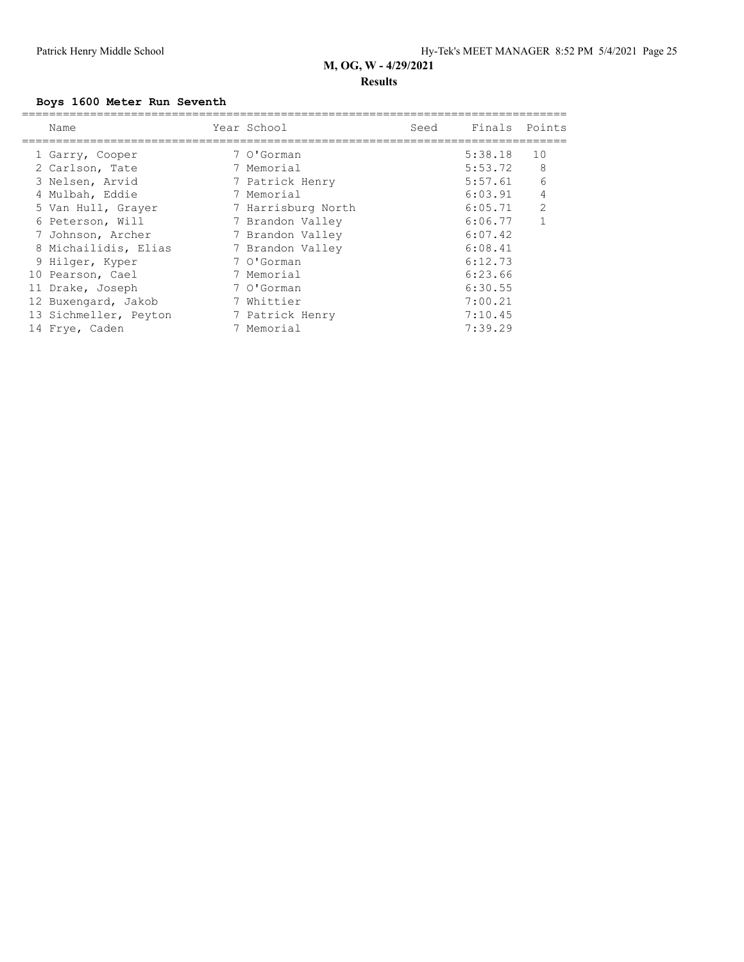### **Results**

#### **Boys 1600 Meter Run Seventh**

| Name                  | Year School        | Seed | Finals Points |                |
|-----------------------|--------------------|------|---------------|----------------|
| 1 Garry, Cooper       | 7 O'Gorman         |      | 5:38.18       | 10             |
| 2 Carlson, Tate       | 7 Memorial         |      | 5:53.72       | 8              |
| 3 Nelsen, Arvid       | 7 Patrick Henry    |      | 5:57.61       | 6              |
| 4 Mulbah, Eddie       | 7 Memorial         |      | 6:03.91       | 4              |
| 5 Van Hull, Grayer    | 7 Harrisburg North |      | 6:05.71       | $\overline{2}$ |
| 6 Peterson, Will      | 7 Brandon Valley   |      | 6:06.77       | $\mathbf{1}$   |
| 7 Johnson, Archer     | 7 Brandon Valley   |      | 6:07.42       |                |
| 8 Michailidis, Elias  | 7 Brandon Valley   |      | 6:08.41       |                |
| 9 Hilger, Kyper       | 7 O'Gorman         |      | 6:12.73       |                |
| 10 Pearson, Cael      | 7 Memorial         |      | 6:23.66       |                |
| 11 Drake, Joseph      | 7 O'Gorman         |      | 6:30.55       |                |
| 12 Buxengard, Jakob   | 7 Whittier         |      | 7:00.21       |                |
| 13 Sichmeller, Peyton | 7 Patrick Henry    |      | 7:10.45       |                |
| 14 Frye, Caden        | 7 Memorial         |      | 7:39.29       |                |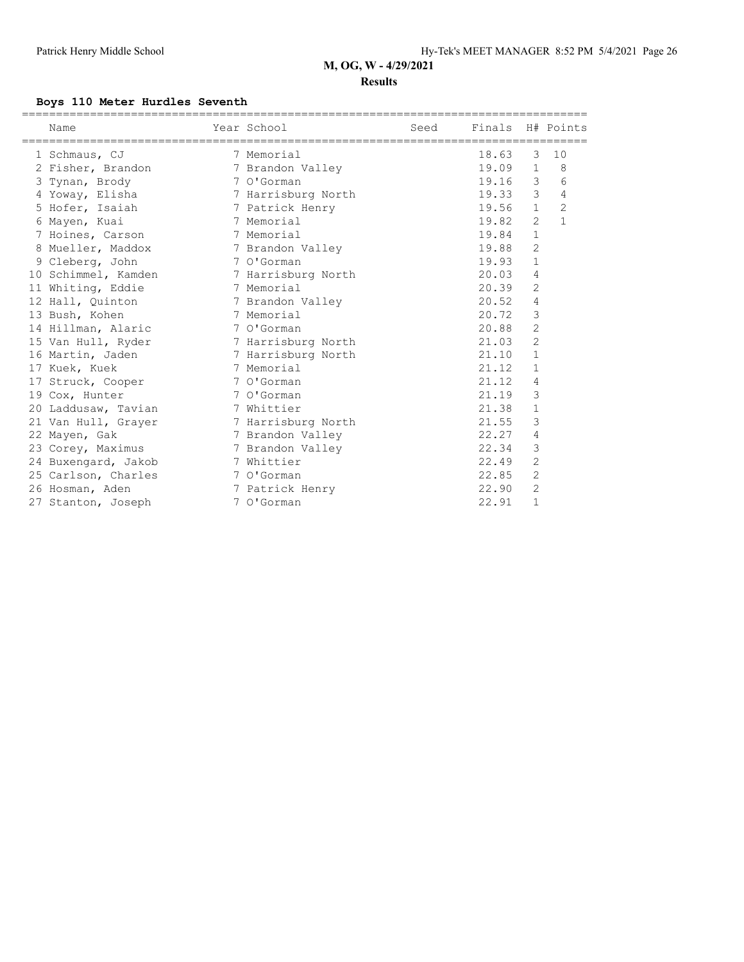#### **Results**

#### **Boys 110 Meter Hurdles Seventh**

| Name                | Year School        | Seed | Finals H# Points |                |                |
|---------------------|--------------------|------|------------------|----------------|----------------|
| 1 Schmaus, CJ       | 7 Memorial         |      | 18.63            | 3              | 10             |
| 2 Fisher, Brandon   | 7 Brandon Valley   |      | 19.09            | $\mathbf{1}$   | 8              |
| 3 Tynan, Brody      | 7 O'Gorman         |      | 19.16            | 3              | 6              |
| 4 Yoway, Elisha     | 7 Harrisburg North |      | 19.33            | $\mathfrak{Z}$ | 4              |
| 5 Hofer, Isaiah     | 7 Patrick Henry    |      | 19.56            | $\mathbf{1}$   | $\overline{2}$ |
| 6 Mayen, Kuai       | 7 Memorial         |      | 19.82            | $\overline{2}$ | $\mathbf{1}$   |
| 7 Hoines, Carson    | 7 Memorial         |      | 19.84            | $\mathbf{1}$   |                |
| 8 Mueller, Maddox   | 7 Brandon Valley   |      | 19.88            | $\overline{c}$ |                |
| 9 Cleberg, John     | 7 O'Gorman         |      | 19.93            | $\mathbf{1}$   |                |
| 10 Schimmel, Kamden | 7 Harrisburg North |      | 20.03            | 4              |                |
| 11 Whiting, Eddie   | 7 Memorial         |      | 20.39            | $\overline{2}$ |                |
| 12 Hall, Quinton    | 7 Brandon Valley   |      | 20.52            | 4              |                |
| 13 Bush, Kohen      | 7 Memorial         |      | 20.72            | 3              |                |
| 14 Hillman, Alaric  | 7 O'Gorman         |      | 20.88            | 2              |                |
| 15 Van Hull, Ryder  | 7 Harrisburg North |      | 21.03            | $\overline{2}$ |                |
| 16 Martin, Jaden    | 7 Harrisburg North |      | 21.10            | $\mathbf{1}$   |                |
| 17 Kuek, Kuek       | 7 Memorial         |      | 21.12            | $\mathbf{1}$   |                |
| 17 Struck, Cooper   | 7 O'Gorman         |      | 21.12            | 4              |                |
| 19 Cox, Hunter      | 7 O'Gorman         |      | 21.19            | 3              |                |
| 20 Laddusaw, Tavian | 7 Whittier         |      | 21.38            | $\mathbf{1}$   |                |
| 21 Van Hull, Grayer | 7 Harrisburg North |      | 21.55            | 3              |                |
| 22 Mayen, Gak       | 7 Brandon Valley   |      | 22.27            | 4              |                |
| 23 Corey, Maximus   | 7 Brandon Valley   |      | 22.34            | 3              |                |
| 24 Buxengard, Jakob | 7 Whittier         |      | 22.49            | 2              |                |
| 25 Carlson, Charles | 7 O'Gorman         |      | 22.85            | $\overline{c}$ |                |
| 26 Hosman, Aden     | 7 Patrick Henry    |      | 22.90            | 2              |                |
| 27 Stanton, Joseph  | 7 O'Gorman         |      | 22.91            | $\mathbf{1}$   |                |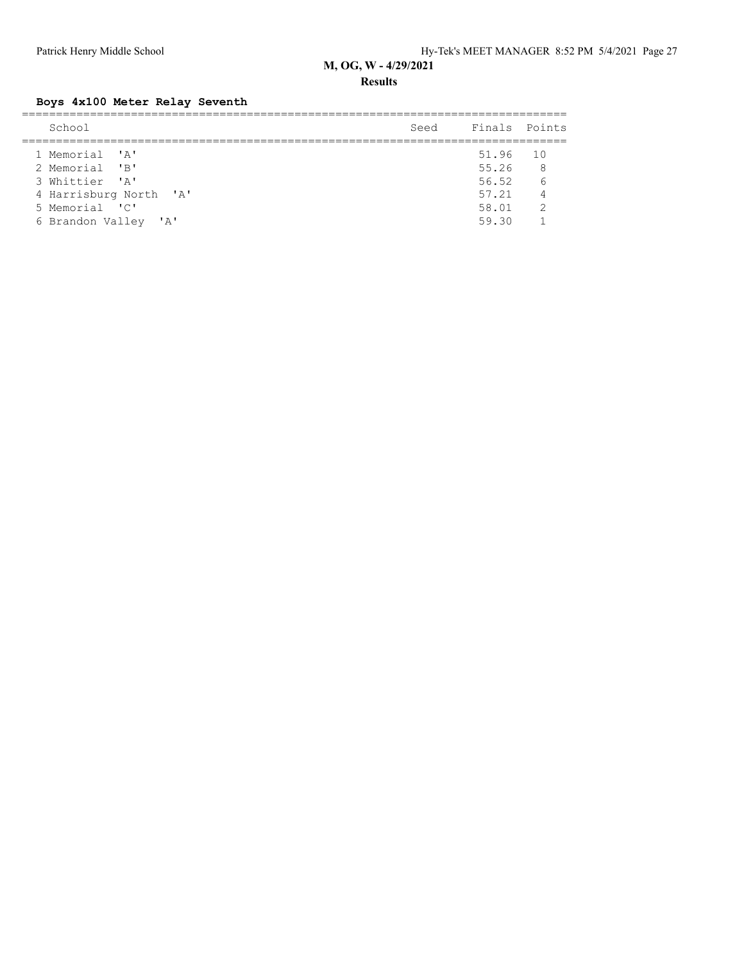**Results**

## **Boys 4x100 Meter Relay Seventh**

| School                 | Seed | Finals Points |                |
|------------------------|------|---------------|----------------|
| 1 Memorial 'A'         |      | 51.96 10      |                |
| 2 Memorial 'B'         |      | 55.26         | 8 <sup>8</sup> |
| 3 Whittier 'A'         |      | 56.52         | 6              |
| 4 Harrisburg North 'A' |      | 57.21         | $\overline{4}$ |
| 5 Memorial 'C'         |      | 58.01         | $\overline{2}$ |
| 6 Brandon Valley 'A'   |      | 59.30         |                |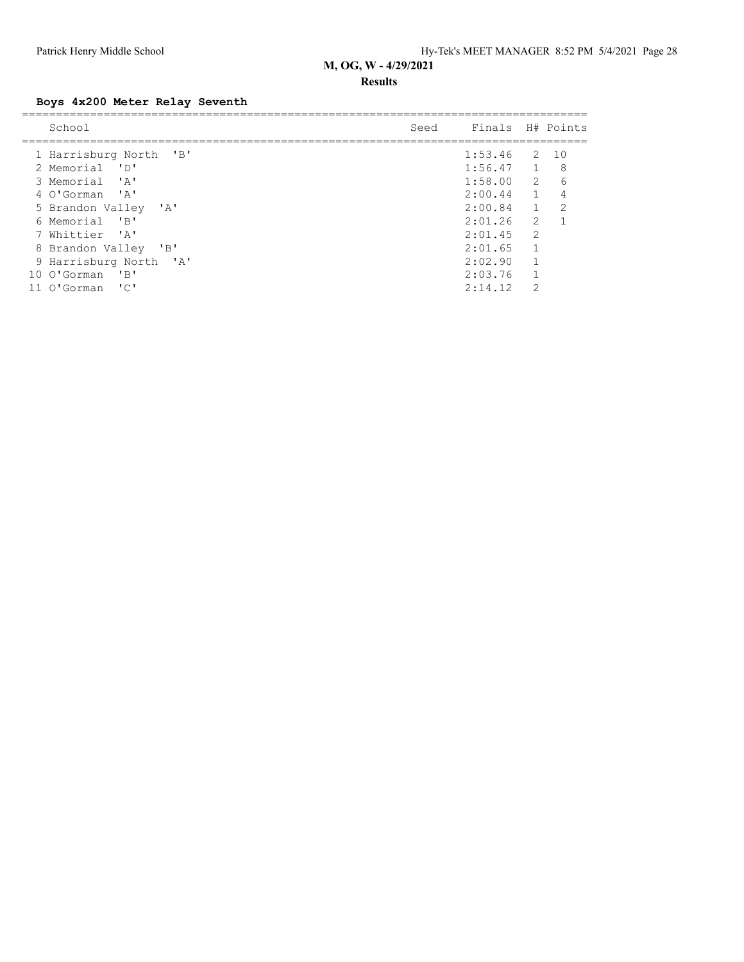#### **Results**

## **Boys 4x200 Meter Relay Seventh**

| School                                                                                                                  | Seed | Finals         |               | H# Points      |
|-------------------------------------------------------------------------------------------------------------------------|------|----------------|---------------|----------------|
| 1 Harrisburg North 'B'                                                                                                  |      | $1:53.46$ 2 10 |               |                |
| 2 Memorial<br>י חי                                                                                                      |      | $1:56.47$ 1    |               | 8              |
| י ב <i>י</i><br>3 Memorial                                                                                              |      | 1:58.00        | -2            | 6              |
| 4 O'Gorman 'A'                                                                                                          |      | 2:00.44        | $\sim$ 1      | 4              |
| 5 Brandon Valley<br>$\mathsf{A}$                                                                                        |      | 2:00.84        | $\mathbf{1}$  | $\mathfrak{D}$ |
| 6 Memorial<br>$\mathbf{B}$                                                                                              |      | 2:01.26        | 2             |                |
| 7 Whittier 'A'                                                                                                          |      | 2:01.45        | $\mathcal{L}$ |                |
| $\overline{\phantom{a}}$ $\overline{\phantom{a}}$ $\overline{\phantom{a}}$ $\overline{\phantom{a}}$<br>8 Brandon Valley |      | 2:01.65        |               |                |
| 9 Harrisburg North 'A'                                                                                                  |      | 2:02.90        | 1             |                |
| 10 O'Gorman<br>$'$ B                                                                                                    |      | 2:03.76        |               |                |
| $\overline{\phantom{a}}$<br>O'Gorman                                                                                    |      | 2:14.12        | $\mathcal{P}$ |                |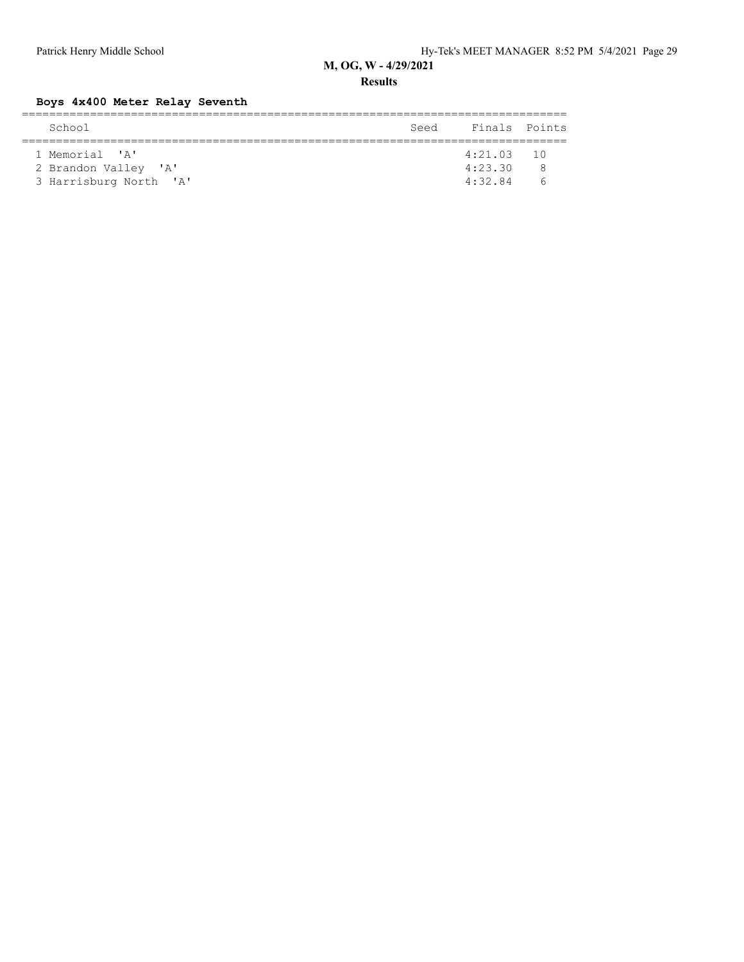**Results**

## **Boys 4x400 Meter Relay Seventh**

| School                 | Seed | Finals Points |            |  |  |  |  |  |  |
|------------------------|------|---------------|------------|--|--|--|--|--|--|
|                        |      |               |            |  |  |  |  |  |  |
| 1 Memorial 'A'         |      | $4:21.03$ 10  |            |  |  |  |  |  |  |
| 2 Brandon Valley 'A'   |      | 4:23.30       | ₽          |  |  |  |  |  |  |
| 3 Harrisburg North 'A' |      | 4:32.84       | $\sqrt{2}$ |  |  |  |  |  |  |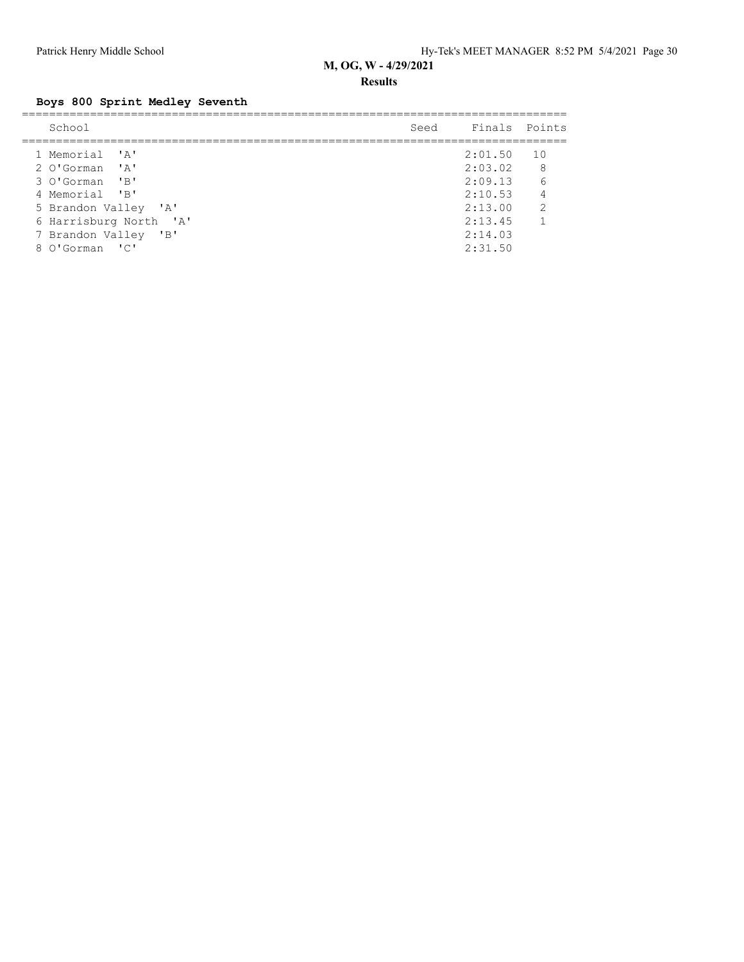#### **Results**

# **Boys 800 Sprint Medley Seventh**

| School                 | Seed | Finals Points |                |
|------------------------|------|---------------|----------------|
| 1 Memorial 'A'         |      | 2:01.50       | 10             |
| 2 O'Gorman 'A'         |      | 2:03.02       | 8 <sup>8</sup> |
| 3 O'Gorman 'B'         |      | 2:09.13       | - 6            |
| 4 Memorial 'B'         |      | 2:10.53       | $\overline{4}$ |
| 5 Brandon Valley 'A'   |      | 2:13.00       | 2              |
| 6 Harrisburg North 'A' |      | 2:13.45       | $\overline{1}$ |
| 7 Brandon Valley 'B'   |      | 2:14.03       |                |
| 8 O'Gorman 'C'         |      | 2:31.50       |                |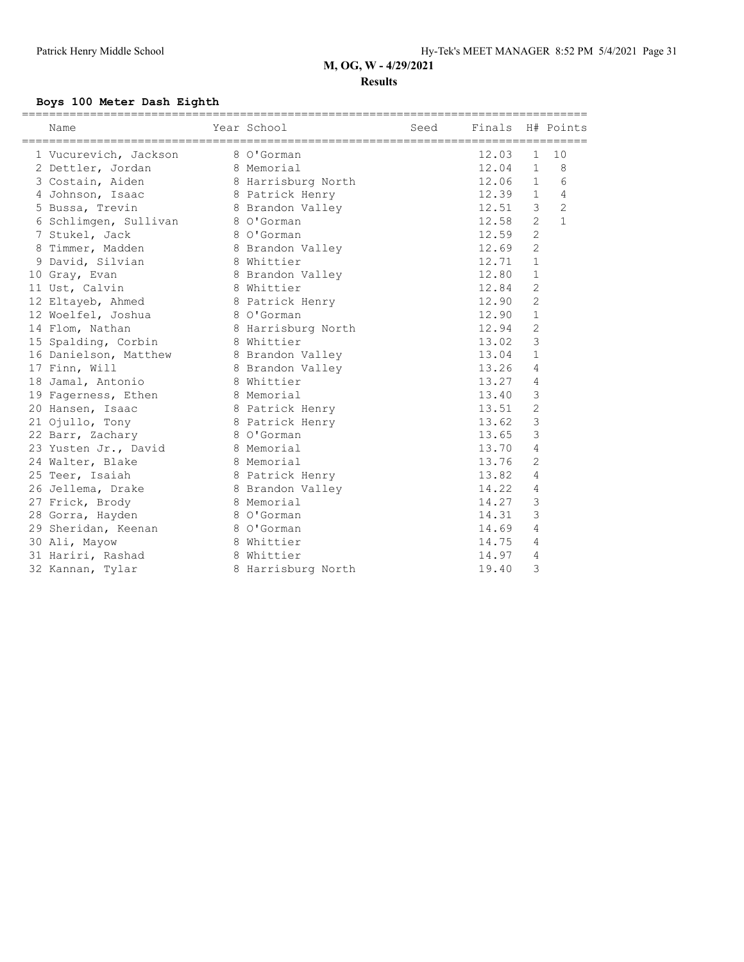#### **Results**

## **Boys 100 Meter Dash Eighth**

| Name                                   | Year School        | Seed | Finals H# Points |                |                |
|----------------------------------------|--------------------|------|------------------|----------------|----------------|
| 1 Vucurevich, Jackson                  | 8 O'Gorman         |      | 12.03            | $\mathbf{1}$   | 10             |
| 2 Dettler, Jordan                      | 8 Memorial         |      | 12.04            | $\mathbf{1}$   | 8              |
| 3 Costain, Aiden                       | 8 Harrisburg North |      | 12.06            | $\mathbf{1}$   | 6              |
| 4 Johnson, Isaac                       | 8 Patrick Henry    |      | 12.39            | $\mathbf{1}$   | $\overline{4}$ |
| 5 Bussa, Trevin                        |                    |      | 12.51            | 3              | $\overline{2}$ |
|                                        | 8 Brandon Valley   |      | 12.58            | $\overline{2}$ | $\mathbf{1}$   |
| 6 Schlimgen, Sullivan                  | 8 O'Gorman         |      | 12.59            | $\overline{c}$ |                |
| 7 Stukel, Jack                         | 8 O'Gorman         |      |                  | $\overline{c}$ |                |
| 8 Timmer, Madden                       | 8 Brandon Valley   |      | 12.69            |                |                |
| 9 David, Silvian                       | 8 Whittier         |      | 12.71            | $\mathbf{1}$   |                |
| 10 Gray, Evan                          | 8 Brandon Valley   |      | 12.80            | $\mathbf{1}$   |                |
| 11 Ust, Calvin                         | 8 Whittier         |      | 12.84            | $\mathbf{2}$   |                |
| 12 Eltayeb, Ahmed                      | 8 Patrick Henry    |      | 12.90            | $\mathbf{2}$   |                |
| 12 Woelfel, Joshua                     | 8 O'Gorman         |      | 12.90            | $\mathbf{1}$   |                |
| 14 Flom, Nathan                        | 8 Harrisburg North |      | 12.94            | $\mathbf{2}$   |                |
| 15 Spalding, Corbin 8 Whittier         |                    |      | 13.02            | 3              |                |
| 16 Danielson, Matthew 8 Brandon Valley |                    |      | 13.04            | $\mathbf{1}$   |                |
| 17 Finn, Will                          | 8 Brandon Valley   |      | 13.26            | $\overline{4}$ |                |
| 18 Jamal, Antonio                      | 8 Whittier         |      | 13.27            | 4              |                |
| 19 Fagerness, Ethen                    | 8 Memorial         |      | 13.40            | 3              |                |
| 20 Hansen, Isaac                       | 8 Patrick Henry    |      | 13.51            | $\mathbf{2}$   |                |
| 21 Ojullo, Tony                        | 8 Patrick Henry    |      | 13.62            | 3              |                |
| 22 Barr, Zachary                       | 8 O'Gorman         |      | 13.65            | 3              |                |
| 23 Yusten Jr., David 8 Memorial        |                    |      | 13.70            | 4              |                |
| 24 Walter, Blake                       | 8 Memorial         |      | 13.76            | $\overline{2}$ |                |
| 25 Teer, Isaiah                        | 8 Patrick Henry    |      | 13.82            | $\overline{4}$ |                |
| 26 Jellema, Drake                      | 8 Brandon Valley   |      | 14.22            | 4              |                |
| 27 Frick, Brody                        | 8 Memorial         |      | 14.27            | 3              |                |
| 28 Gorra, Hayden                       | 8 O'Gorman         |      | 14.31            | 3              |                |
| 29 Sheridan, Keenan                    | 8 O'Gorman         |      | 14.69            | 4              |                |
| 30 Ali, Mayow                          | 8 Whittier         |      | 14.75            | 4              |                |
| 31 Hariri, Rashad                      | 8 Whittier         |      | 14.97            | 4              |                |
| 32 Kannan, Tylar                       | 8 Harrisburg North |      | 19.40            | 3              |                |
|                                        |                    |      |                  |                |                |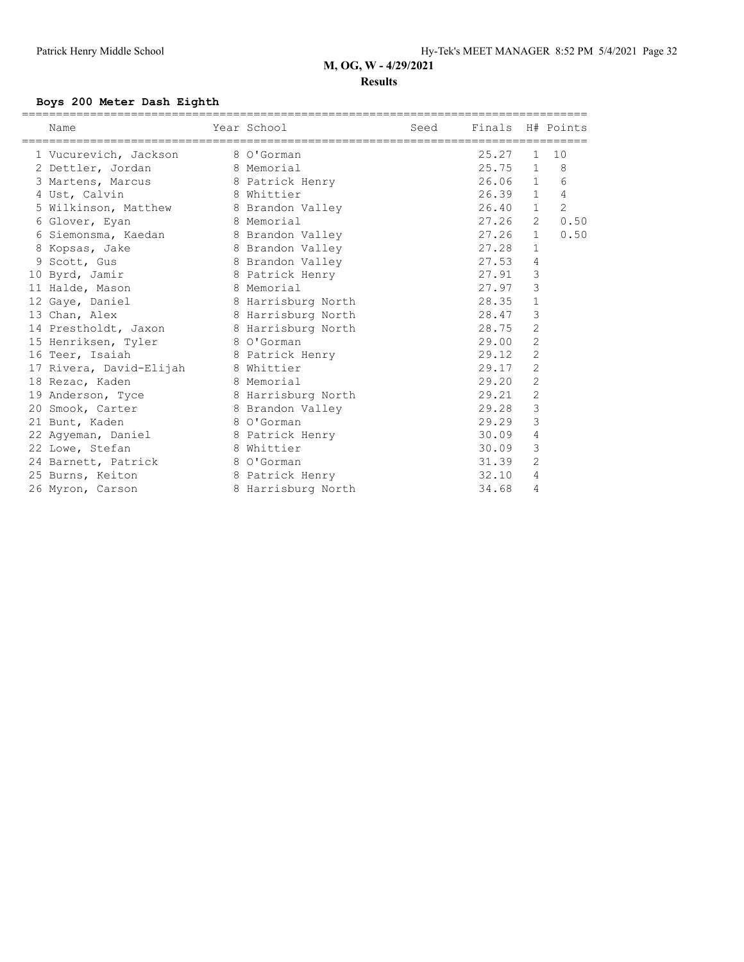#### **Results**

## **Boys 200 Meter Dash Eighth**

| ======================<br>Name          | Year School        | Seed | Finals H# Points |                |                |
|-----------------------------------------|--------------------|------|------------------|----------------|----------------|
| 1 Vucurevich, Jackson                   | 8 O'Gorman         |      | 25.27            | 1              | 10             |
| 2 Dettler, Jordan 8 Memorial            |                    |      | 25.75 1          |                | 8              |
| 3 Martens, Marcus 8 Patrick Henry       |                    |      | $26.06$ 1        |                | 6              |
| 4 Ust, Calvin                           | 8 Whittier         |      | $26.39$ 1        |                | $\overline{4}$ |
| 5 Wilkinson, Matthew 8 Brandon Valley   |                    |      | 26.40            | $\mathbf{1}$   | 2              |
| 6 Glover, Eyan                          | 8 Memorial         |      | 27.26            | 2              | 0.50           |
| 6 Siemonsma, Kaedan 6 8 Brandon Valley  |                    |      | 27.26            | $\mathbf{1}$   | 0.50           |
| 8 Kopsas, Jake                          | 8 Brandon Valley   |      | 27.28            | $\mathbf{1}$   |                |
| 9 Scott, Gus                            | 8 Brandon Valley   |      | 27.53            | $\overline{4}$ |                |
| 10 Byrd, Jamir                          | 8 Patrick Henry    |      | 27.91            | $\mathcal{S}$  |                |
| 11 Halde, Mason                         | 8 Memorial         |      | 27.97            | 3              |                |
| 12 Gaye, Daniel                         | 8 Harrisburg North |      | 28.35            | $\mathbf{1}$   |                |
| 13 Chan, Alex                           | 8 Harrisburg North |      | 28.47            | $\mathfrak{Z}$ |                |
| 14 Prestholdt, Jaxon 8 Harrisburg North |                    |      | 28.75            | $\overline{2}$ |                |
| 15 Henriksen, Tyler 8 O'Gorman          |                    |      | 29.00            | $\overline{c}$ |                |
| 16 Teer, Isaiah                         | 8 Patrick Henry    |      | 29.12            | $\overline{c}$ |                |
| 17 Rivera, David-Elijah 8 Whittier      |                    |      | 29.17            | $\overline{c}$ |                |
| 18 Rezac, Kaden                         | 8 Memorial         |      | 29.20            | $\overline{2}$ |                |
| 19 Anderson, Tyce                       | 8 Harrisburg North |      | 29.21            | $\mathbf{2}$   |                |
| 20 Smook, Carter                        | 8 Brandon Valley   |      | 29.28            | $\mathfrak{Z}$ |                |
| 21 Bunt, Kaden                          | 8 O'Gorman         |      | 29.29            | 3              |                |
| 22 Agyeman, Daniel 8 Patrick Henry      |                    |      | 30.09            | 4              |                |
| 22 Lowe, Stefan                         | 8 Whittier         |      | 30.09            | 3              |                |
| 24 Barnett, Patrick 8 O'Gorman          |                    |      | 31.39            | 2              |                |
| 25 Burns, Keiton                        | 8 Patrick Henry    |      | 32.10            | 4              |                |
| 26 Myron, Carson                        | 8 Harrisburg North |      | 34.68            | 4              |                |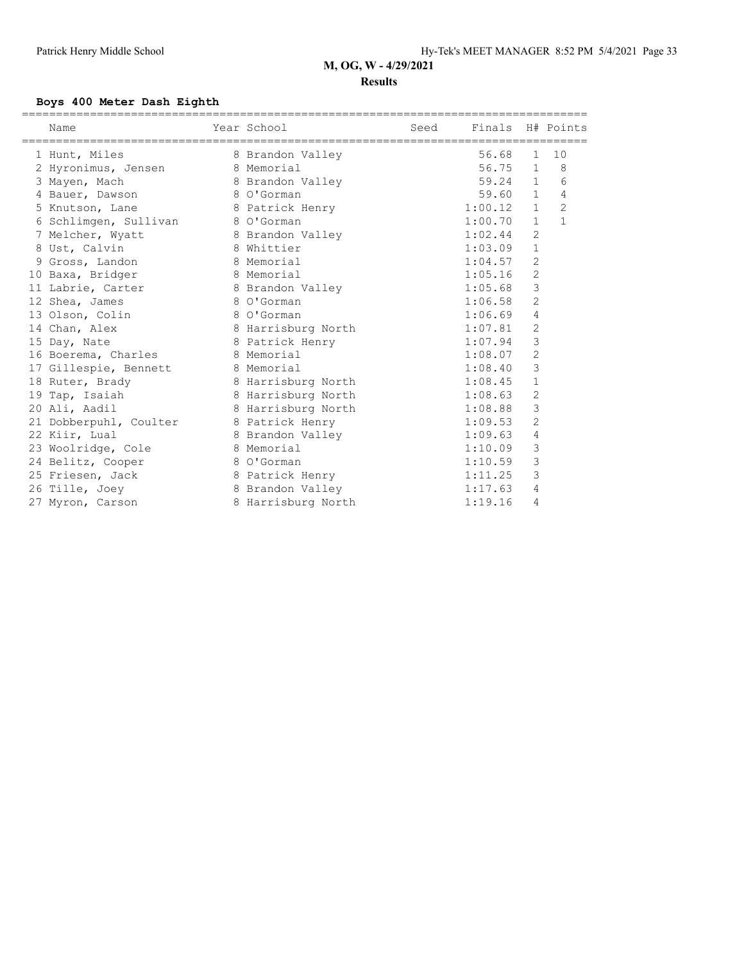#### **Results**

#### **Boys 400 Meter Dash Eighth**

| Name                             | Year School        | Seed | Finals H# Points |                |                |
|----------------------------------|--------------------|------|------------------|----------------|----------------|
| 1 Hunt, Miles                    | 8 Brandon Valley   |      | 56.68            | $\mathbf{1}$   | 10             |
| 2 Hyronimus, Jensen              | 8 Memorial         |      | 56.75            | $\mathbf{1}$   | 8              |
| 3 Mayen, Mach                    | 8 Brandon Valley   |      | 59.24            | $\mathbf{1}$   | 6              |
| 4 Bauer, Dawson                  | 8 O'Gorman         |      | 59.60            | $\mathbf{1}$   | 4              |
| 5 Knutson, Lane                  | 8 Patrick Henry    |      | 1:00.12          | $\mathbf{1}$   | $\overline{2}$ |
| 6 Schlimgen, Sullivan 8 O'Gorman |                    |      | 1:00.70          | $\mathbf{1}$   | $\mathbf{1}$   |
| 7 Melcher, Wyatt                 | 8 Brandon Valley   |      | 1:02.44          | $\overline{c}$ |                |
| 8 Ust, Calvin                    | 8 Whittier         |      | 1:03.09          | $\mathbf 1$    |                |
| 9 Gross, Landon                  | 8 Memorial         |      | 1:04.57          | $\overline{c}$ |                |
| 10 Baxa, Bridger                 | 8 Memorial         |      | 1:05.16          | $\overline{c}$ |                |
| 11 Labrie, Carter                | 8 Brandon Valley   |      | 1:05.68          | 3              |                |
| 12 Shea, James                   | 8 O'Gorman         |      | 1:06.58          | $\overline{c}$ |                |
| 13 Olson, Colin                  | 8 O'Gorman         |      | 1:06.69          | 4              |                |
| 14 Chan, Alex                    | 8 Harrisburg North |      | 1:07.81          | 2              |                |
| 15 Day, Nate                     | 8 Patrick Henry    |      | 1:07.94          | 3              |                |
| 16 Boerema, Charles              | 8 Memorial         |      | 1:08.07          | $\sqrt{2}$     |                |
| 17 Gillespie, Bennett            | 8 Memorial         |      | 1:08.40          | 3              |                |
| 18 Ruter, Brady                  | 8 Harrisburg North |      | 1:08.45          | $\mathbf{1}$   |                |
| 19 Tap, Isaiah                   | 8 Harrisburg North |      | 1:08.63          | 2              |                |
| 20 Ali, Aadil                    | 8 Harrisburg North |      | 1:08.88          | 3              |                |
| 21 Dobberpuhl, Coulter           | 8 Patrick Henry    |      | 1:09.53          | $\overline{2}$ |                |
| 22 Kiir, Lual                    | 8 Brandon Valley   |      | 1:09.63          | 4              |                |
| 23 Woolridge, Cole               | 8 Memorial         |      | 1:10.09          | 3              |                |
| 24 Belitz, Cooper                | 8 O'Gorman         |      | 1:10.59          | 3              |                |
| 25 Friesen, Jack                 | 8 Patrick Henry    |      | 1:11.25          | 3              |                |
| 26 Tille, Joey                   | 8 Brandon Valley   |      | 1:17.63          | 4              |                |
| 27 Myron, Carson                 | 8 Harrisburg North |      | 1:19.16          | 4              |                |
|                                  |                    |      |                  |                |                |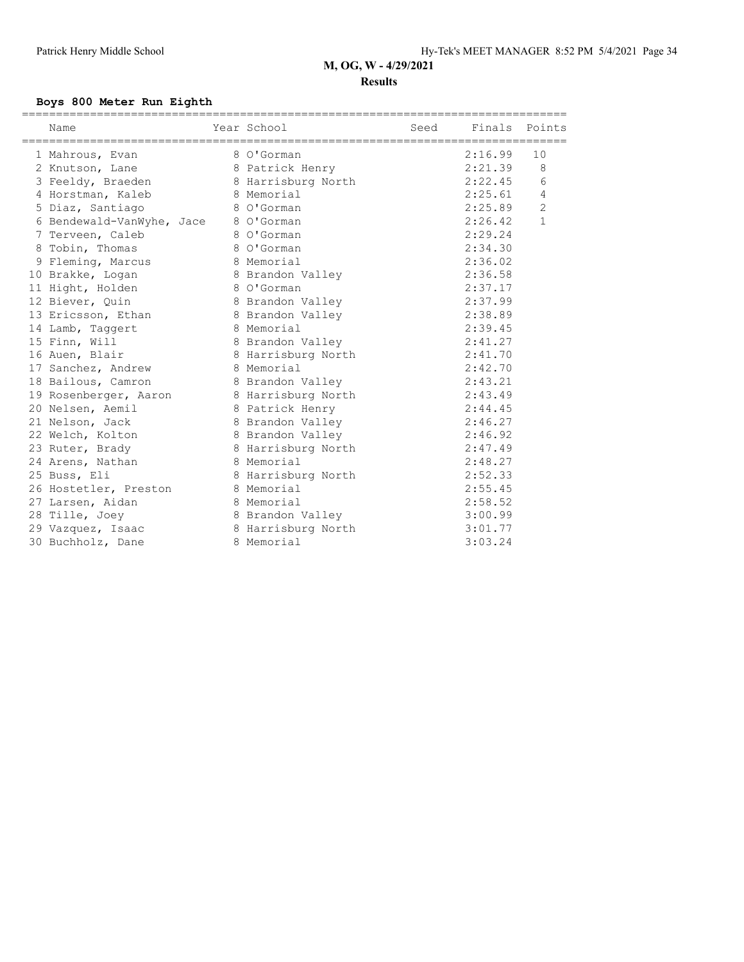#### **Results**

#### **Boys 800 Meter Run Eighth**

| Year School<br>Name                      | Seed Finals Points |         |                 |
|------------------------------------------|--------------------|---------|-----------------|
| 1 Mahrous, Evan                          | 8 O'Gorman         | 2:16.99 | 10              |
| 2 Knutson, Lane                          | 8 Patrick Henry    | 2:21.39 | 8               |
| 3 Feeldy, Braeden                        | 8 Harrisburg North | 2:22.45 | $6\overline{6}$ |
| 4 Horstman, Kaleb                        | 8 Memorial         | 2:25.61 | $\overline{4}$  |
| 5 Diaz, Santiago                         | 8 O'Gorman         | 2:25.89 | $\overline{2}$  |
| 6 Bendewald-VanWyhe, Jace 8 O'Gorman     |                    | 2:26.42 | $\mathbf{1}$    |
| 7 Terveen, Caleb                         | 8 O'Gorman         | 2:29.24 |                 |
| 8 Tobin, Thomas                          | 8 O'Gorman         | 2:34.30 |                 |
| 9 Fleming, Marcus                        | 8 Memorial         | 2:36.02 |                 |
| 10 Brakke, Logan                         | 8 Brandon Valley   | 2:36.58 |                 |
| 11 Hight, Holden                         | 8 O'Gorman         | 2:37.17 |                 |
| 12 Biever, Ouin                          | 8 Brandon Valley   | 2:37.99 |                 |
| 13 Ericsson, Ethan                       | 8 Brandon Valley   | 2:38.89 |                 |
| 14 Lamb, Taggert                         | 8 Memorial         | 2:39.45 |                 |
| 15 Finn, Will                            | 8 Brandon Valley   | 2:41.27 |                 |
| 16 Auen, Blair                           | 8 Harrisburg North | 2:41.70 |                 |
| 17 Sanchez, Andrew                       | 8 Memorial         | 2:42.70 |                 |
| 18 Bailous, Camron                       | 8 Brandon Valley   | 2:43.21 |                 |
| 19 Rosenberger, Aaron 8 Harrisburg North |                    | 2:43.49 |                 |
| 20 Nelsen, Aemil                         | 8 Patrick Henry    | 2:44.45 |                 |
| 21 Nelson, Jack                          | 8 Brandon Valley   | 2:46.27 |                 |
| 22 Welch, Kolton                         | 8 Brandon Valley   | 2:46.92 |                 |
| 23 Ruter, Brady                          | 8 Harrisburg North | 2:47.49 |                 |
| 24 Arens, Nathan                         | 8 Memorial         | 2:48.27 |                 |
| 25 Buss, Eli                             | 8 Harrisburg North | 2:52.33 |                 |
| 26 Hostetler, Preston                    | 8 Memorial         | 2:55.45 |                 |
| 27 Larsen, Aidan                         | 8 Memorial         | 2:58.52 |                 |
| 28 Tille, Joey                           | 8 Brandon Valley   | 3:00.99 |                 |
| 29 Vazquez, Isaac                        | 8 Harrisburg North | 3:01.77 |                 |
| 30 Buchholz, Dane                        | 8 Memorial         | 3:03.24 |                 |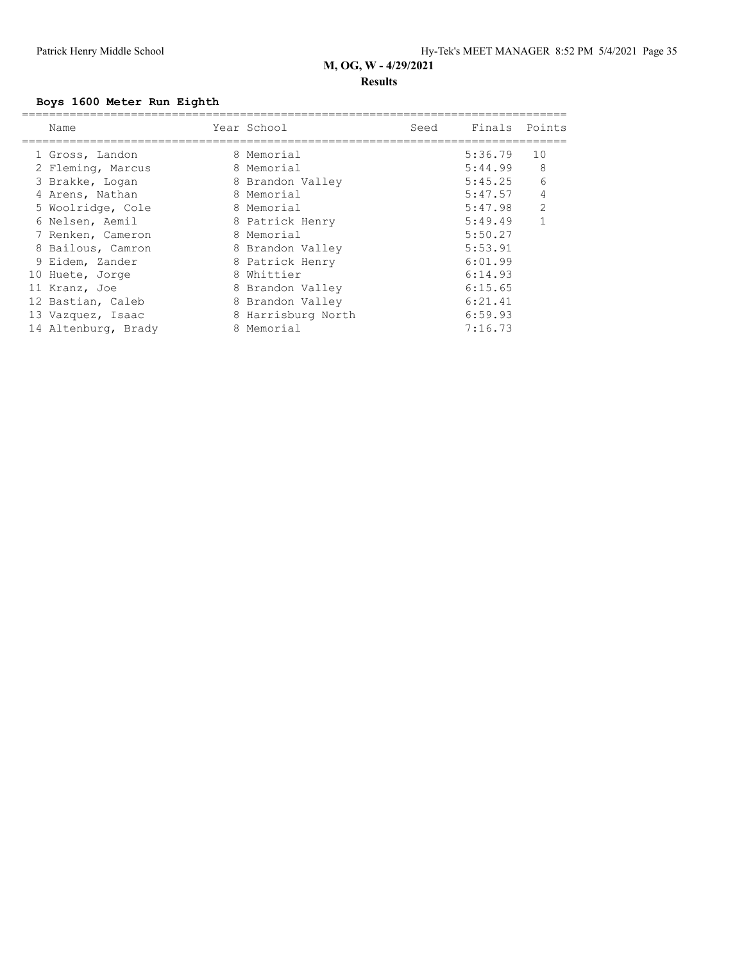#### **Results**

## **Boys 1600 Meter Run Eighth**

| Name                | Year School        | Seed | Finals Points |              |
|---------------------|--------------------|------|---------------|--------------|
| 1 Gross, Landon     | 8 Memorial         |      | 5:36.79       | 10           |
| 2 Fleming, Marcus   | 8 Memorial         |      | 5:44.99       | 8            |
| 3 Brakke, Logan     | 8 Brandon Valley   |      | 5:45.25       | 6            |
| 4 Arens, Nathan     | 8 Memorial         |      | 5:47.57       | 4            |
| 5 Woolridge, Cole   | 8 Memorial         |      | 5:47.98       | 2            |
| 6 Nelsen, Aemil     | 8 Patrick Henry    |      | 5:49.49       | $\mathbf{1}$ |
| 7 Renken, Cameron   | 8 Memorial         |      | 5:50.27       |              |
| 8 Bailous, Camron   | 8 Brandon Valley   |      | 5:53.91       |              |
| 9 Eidem, Zander     | 8 Patrick Henry    |      | 6:01.99       |              |
| 10 Huete, Jorge     | 8 Whittier         |      | 6:14.93       |              |
| 11 Kranz, Joe       | 8 Brandon Valley   |      | 6:15.65       |              |
| 12 Bastian, Caleb   | 8 Brandon Valley   |      | 6:21.41       |              |
| 13 Vazquez, Isaac   | 8 Harrisburg North |      | 6:59.93       |              |
| 14 Altenburg, Brady | 8 Memorial         |      | 7:16.73       |              |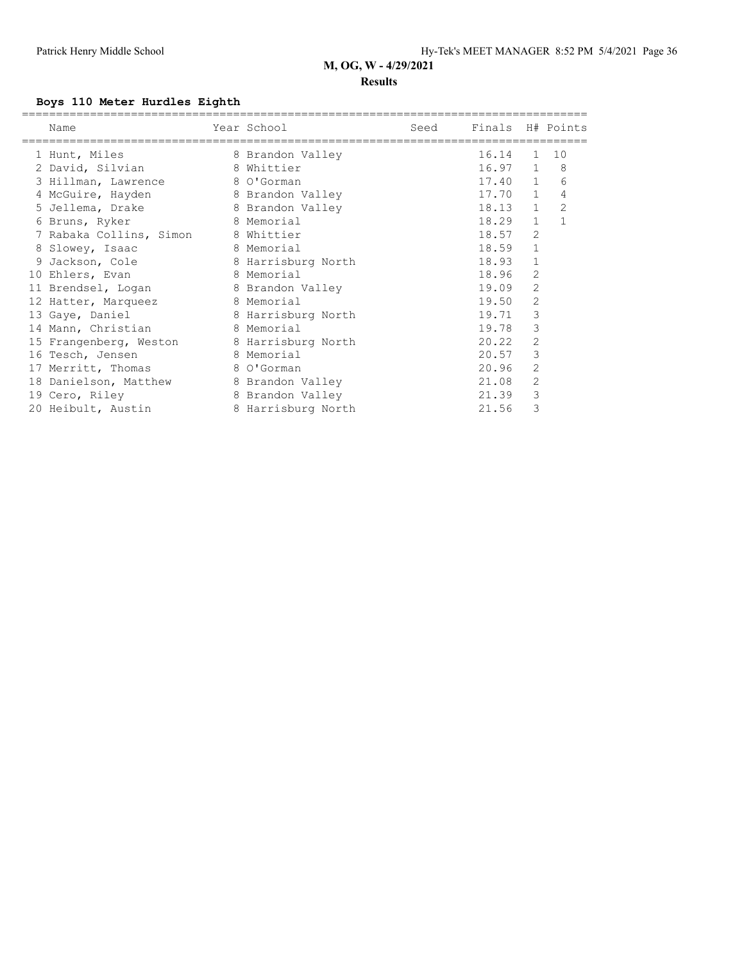#### **Results**

## **Boys 110 Meter Hurdles Eighth**

| Name                    | Year School        | Seed | Finals H# Points |                |                |
|-------------------------|--------------------|------|------------------|----------------|----------------|
| 1 Hunt, Miles           | 8 Brandon Valley   |      | 16.14            | $\mathbf{1}$   | 10             |
| 2 David, Silvian        | 8 Whittier         |      | 16.97            | $\mathbf{1}$   | 8              |
| 3 Hillman, Lawrence     | 8 O'Gorman         |      | $17.40$ 1        |                | 6              |
| 4 McGuire, Hayden       | 8 Brandon Valley   |      | 17.70            | $\mathbf{1}$   | 4              |
| 5 Jellema, Drake        | 8 Brandon Valley   |      | 18.13            | $\mathbf{1}$   | $\overline{2}$ |
| 6 Bruns, Ryker          | 8 Memorial         |      | 18.29            | $\mathbf{1}$   |                |
| 7 Rabaka Collins, Simon | 8 Whittier         |      | 18.57            | $\overline{2}$ |                |
| 8 Slowey, Isaac         | 8 Memorial         |      | 18.59            | 1              |                |
| 9 Jackson, Cole         | 8 Harrisburg North |      | 18.93            | $\mathbf{1}$   |                |
| 10 Ehlers, Evan         | 8 Memorial         |      | 18.96            | 2              |                |
| 11 Brendsel, Logan      | 8 Brandon Valley   |      | 19.09            | 2              |                |
| 12 Hatter, Marqueez     | 8 Memorial         |      | 19.50            | $\overline{2}$ |                |
| 13 Gaye, Daniel         | 8 Harrisburg North |      | 19.71            | 3              |                |
| 14 Mann, Christian      | 8 Memorial         |      | 19.78            | 3              |                |
| 15 Frangenberg, Weston  | 8 Harrisburg North |      | 20.22            | $\overline{2}$ |                |
| 16 Tesch, Jensen        | 8 Memorial         |      | 20.57            | 3              |                |
| 17 Merritt, Thomas      | 8 O'Gorman         |      | 20.96            | 2              |                |
| 18 Danielson, Matthew   | 8 Brandon Valley   |      | 21.08            | $\overline{2}$ |                |
| 19 Cero, Riley          | 8 Brandon Valley   |      | 21.39            | 3              |                |
| 20 Heibult, Austin      | 8 Harrisburg North |      | 21.56            | 3              |                |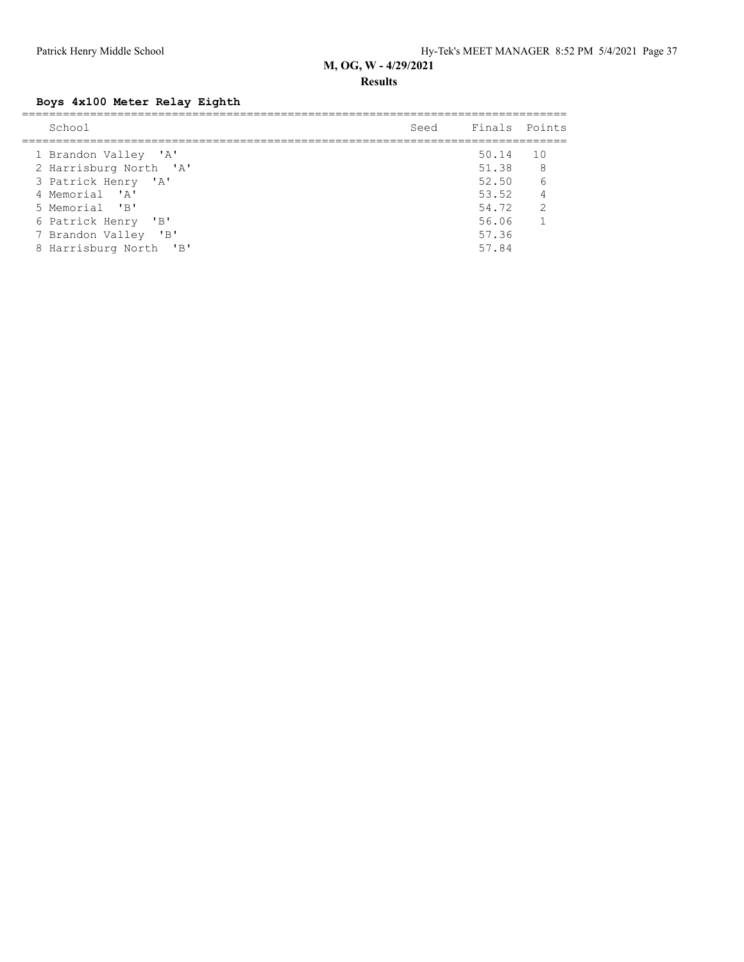#### **Results**

## **Boys 4x100 Meter Relay Eighth**

| School                 | Seed Finals Points |                            |
|------------------------|--------------------|----------------------------|
| 1 Brandon Valley 'A'   | 50.14              | 10                         |
| 2 Harrisburg North 'A' | 51.38              | $\overline{\phantom{0}}$ 8 |
| 3 Patrick Henry 'A'    | 52.50 6            |                            |
| 4 Memorial 'A'         | 53.52 4            |                            |
| 5 Memorial 'B'         | 54.72              | $\overline{2}$             |
| 6 Patrick Henry 'B'    | 56.06              | $\sim$ 1                   |
| 7 Brandon Valley 'B'   | 57.36              |                            |
| 8 Harrisburg North 'B' | 57.84              |                            |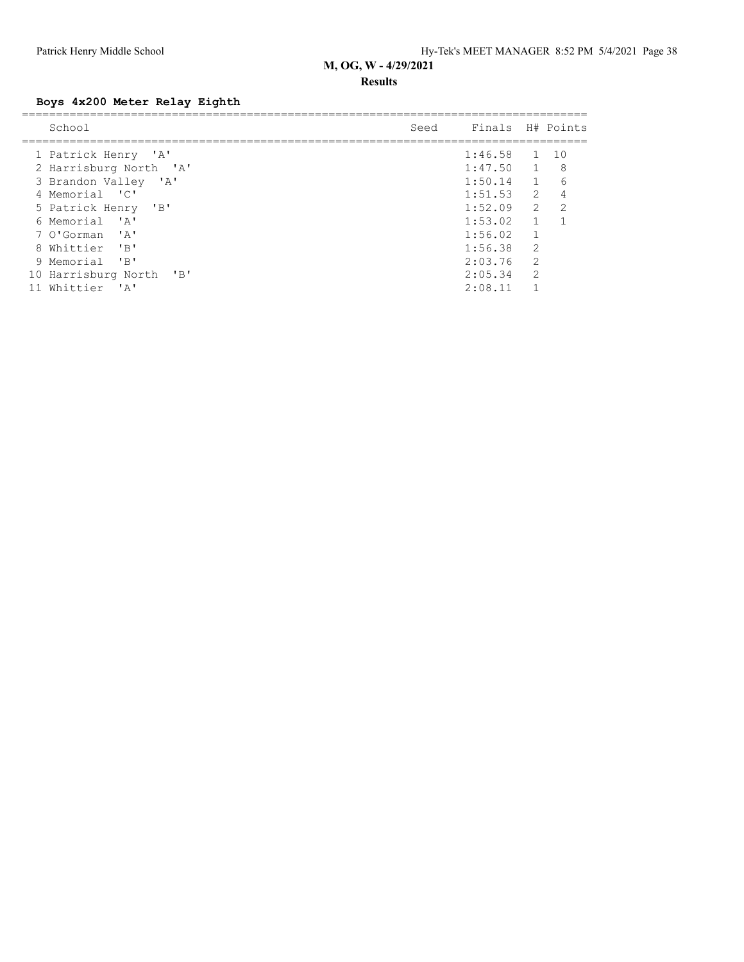#### **Results**

## **Boys 4x200 Meter Relay Eighth**

| School                                            | Seed | Finals H# Points |                |       |
|---------------------------------------------------|------|------------------|----------------|-------|
| 1 Patrick Henry 'A'                               |      | 1:46.58          | $\overline{1}$ | - 1 O |
| 2 Harrisburg North 'A'                            |      | 1:47.50          |                | 8     |
| 3 Brandon Valley 'A'                              |      | 1:50.14          | $\overline{1}$ | 6     |
| 4 Memorial 'C'                                    |      | 1:51.53          | 2              | 4     |
| 5 Patrick Henry 'B'                               |      | 1:52.09          | 2              | 2     |
| 6 Memorial<br>$^{\prime}$ A $^{\prime}$           |      | 1:53.02          |                |       |
| $\mathsf{A}$<br>7 O'Gorman                        |      | 1:56.02          | $\mathbf{1}$   |       |
| Whittier<br>"B"<br>8                              |      | 1:56.38          | $\overline{2}$ |       |
| 9 Memorial<br>$^{\prime}$ B <sup>1</sup>          |      | 2:03.76          | 2              |       |
| 10 Harrisburg North<br>$^{\prime}$ B <sup>t</sup> |      | 2:05.34          | $\overline{2}$ |       |
| Whittier<br>י בי                                  |      | 2:08.11          |                |       |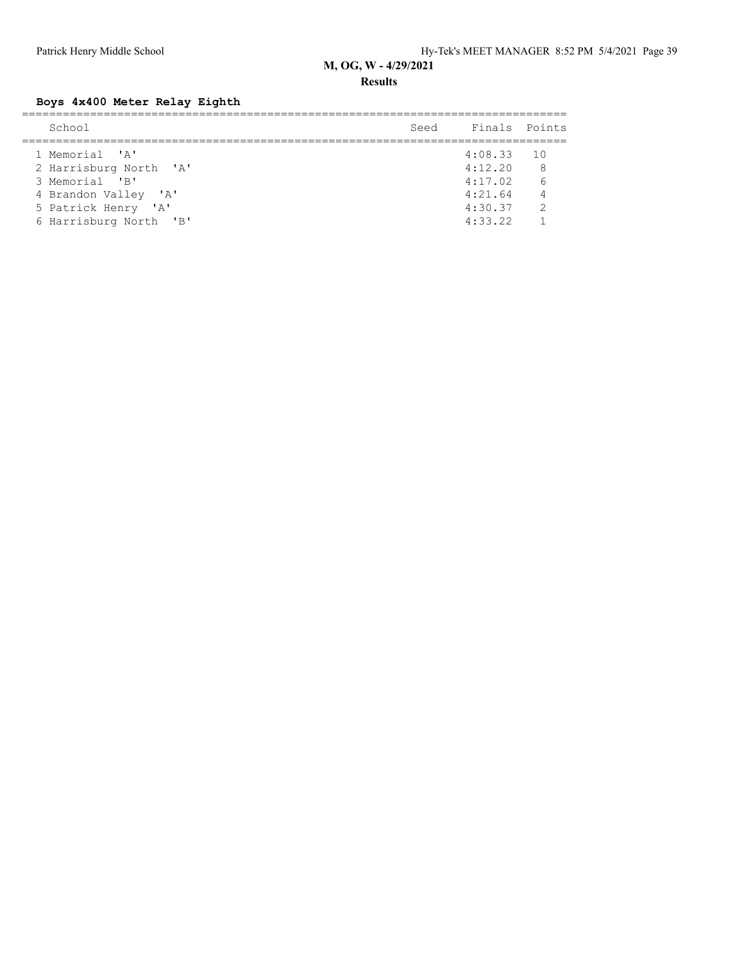**Results**

## **Boys 4x400 Meter Relay Eighth**

| School                 | Seed | Finals Points |                |
|------------------------|------|---------------|----------------|
| 1 Memorial 'A'         |      | $4:08.33$ 10  |                |
| 2 Harrisburg North 'A' |      | 4:12.20       | 8 <sup>8</sup> |
| 3 Memorial 'B'         |      | 4:17.02       | 6              |
| 4 Brandon Valley 'A'   |      | 4:21.64       | $\overline{4}$ |
| 5 Patrick Henry 'A'    |      | 4:30.37       | $\mathcal{P}$  |
| 6 Harrisburg North 'B' |      | 4:33.22       |                |